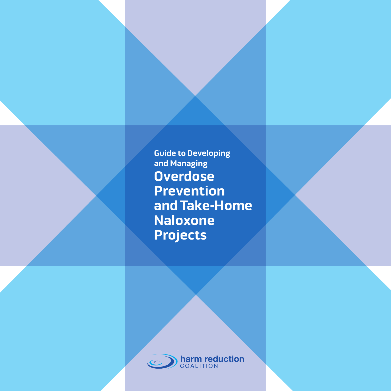**Guide to Developing and Managing Overdose Prevention and Take-Home Naloxone Projects**

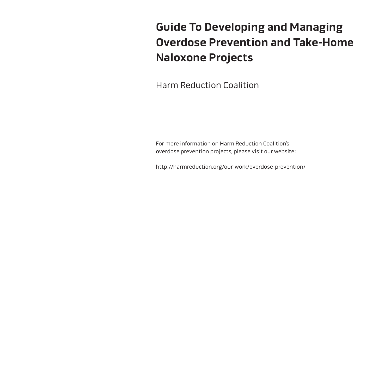# **Guide To Developing and Managing Overdose Prevention and Take-Home Naloxone Projects**

Harm Reduction Coalition

For more information on Harm Reduction Coalition's overdose prevention projects, please visit our website:

http://harmreduction.org/our-work/overdose-prevention/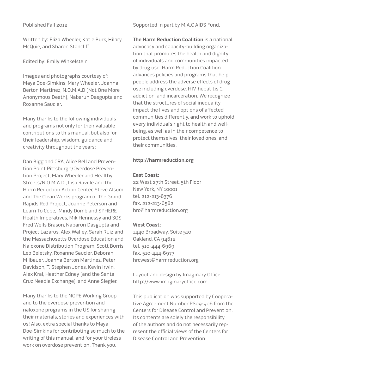#### Published Fall 2012

Written by: Eliza Wheeler, Katie Burk, Hilary McQuie, and Sharon Stancliff

Edited by: Emily Winkelstein

Images and photographs courtesy of: Maya Doe-Simkins, Mary Wheeler, Joanna Berton Martinez, N.O.M.A.D (Not One More Anonymous Death), Nabarun Dasgupta and Roxanne Saucier.

Many thanks to the following individuals and programs not only for their valuable contributions to this manual, but also for their leadership, wisdom, guidance and creativity throughout the years:

Dan Bigg and CRA, Alice Bell and Prevention Point Pittsburgh/Overdose Prevention Project, Mary Wheeler and Healthy Streets/N.O.M.A.D., Lisa Raville and the Harm Reduction Action Center, Steve Alsum and The Clean Works program of The Grand Rapids Red Project, Joanne Peterson and Learn To Cope, Mindy Domb and SPHERE Health Imperatives, Mik Hennessy and SOS, Fred Wells Brason, Nabarun Dasgupta and Project Lazarus, Alex Walley, Sarah Ruiz and the Massachusetts Overdose Education and Naloxone Distribution Program, Scott Burris, Leo Beletsky, Roxanne Saucier, Deborah Milbauer, Joanna Berton Martinez, Peter Davidson, T. Stephen Jones, Kevin Irwin, Alex Kral, Heather Edney (and the Santa Cruz Needle Exchange), and Anne Siegler.

Many thanks to the NOPE Working Group, and to the overdose prevention and naloxone programs in the US for sharing their materials, stories and experiences with us! Also, extra special thanks to Maya Doe-Simkins for contributing so much to the writing of this manual, and for your tireless work on overdose prevention. Thank you.

#### Supported in part by M.A.C AIDS Fund.

**The Harm Reduction Coalition** is a national advocacy and capacity-building organization that promotes the health and dignity of individuals and communities impacted by drug use. Harm Reduction Coalition advances policies and programs that help people address the adverse effects of drug use including overdose, HIV, hepatitis C, addiction, and incarceration. We recognize that the structures of social inequality impact the lives and options of affected communities differently, and work to uphold every individual's right to health and wellbeing, as well as in their competence to protect themselves, their loved ones, and their communities.

#### **http://harmreduction.org**

#### **East Coast:**

22 West 27th Street, 5th Floor New York, NY 10001 tel. 212-213-6376 fax. 212-213-6582 hrc@harmreduction.org

#### **West Coast:**

1440 Broadway, Suite 510 Oakland, CA 94612 tel. 510-444-6969 fax. 510-444-6977 hrcwest@harmreduction.org

Layout and design by Imaginary Office http://www.imaginaryoffice.com

This publication was supported by Cooperative Agreement Number PS09-906 from the Centers for Disease Control and Prevention. Its contents are solely the responsibility of the authors and do not necessarily represent the official views of the Centers for Disease Control and Prevention.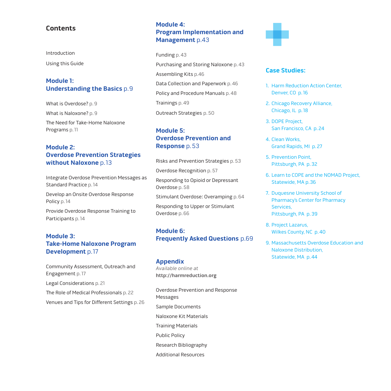### **Contents**

Introduction Using this Guide

## **Module 1: [Understanding the Basics](#page-8-0)** p.9

What is Overdose? p.9 What is Naloxone? p.9 The Need for Take-Home Naloxone Programs p.11

## **Module 2: [Overdose Prevention Strategies](#page-12-0)  without Naloxone** p.13

Integrate Overdose Prevention Messages as Standard Practice p.14

Develop an Onsite Overdose Response Policy p.14

Provide Overdose Response Training to Participants p.14

## **Module 3: [Take-Home Naloxone Program](#page-16-0)  Development** p.17

Community Assessment, Outreach and Engagement p.17 Legal Considerations p.21 The Role of Medical Professionals p.22 Venues and Tips for Different Settings p.26

## **Module 4: [Program Implementation and](#page-42-0)  Management** p.43

Funding p.43 Purchasing and Storing Naloxone p.43 Assembling Kits p.46 Data Collection and Paperwork p.46 Policy and Procedure Manuals p.48 Trainings p.49 Outreach Strategies p.50

## **Module 5: [Overdose Prevention and](#page-52-0)  Response** p.53

Risks and Prevention Strategies p.53

Overdose Recognition p.57

Responding to Opioid or Depressant Overdose p.58

Stimulant Overdose: Overamping p.64

Responding to Upper or Stimulant Overdose p.66

## **Module 6: [Frequently Asked Questions](#page-68-0)** p.69

#### **Appendix**

Available online at **[http://harmreduction.org](http://harmreduction.org/issues/overdose-prevention/tools-best-practices/manuals-best-practice/od-manual-appendix/)**

[Overdose Prevention and Response](http://harmreduction.org/issues/overdose-prevention/tools-best-practices/manuals-best-practice/od-manual-appendix/od-manual-appendix-a/)  Messages [Sample Documents](http://harmreduction.org/issues/overdose-prevention/tools-best-practices/manuals-best-practice/od-manual-appendix/od-manual-appendix-b/) [Naloxone Kit Materials](http://harmreduction.org/issues/overdose-prevention/tools-best-practices/manuals-best-practice/od-manual-appendix/od-manual-appendix-c/) [Training Materials](http://harmreduction.org/issues/overdose-prevention/tools-best-practices/manuals-best-practice/od-manual-appendix/od-manual-appendix-d/) [Public Policy](http://harmreduction.org/issues/overdose-prevention/tools-best-practices/manuals-best-practice/od-manual-appendix/od-manual-appendix-e/) [Research Bibliography](http://harmreduction.org/issues/overdose-prevention/tools-best-practices/manuals-best-practice/od-manual-appendix/od-manual-appendix-f/) 

[Additional Resources](http://harmreduction.org/issues/overdose-prevention/tools-best-practices/manuals-best-practice/od-manual-appendix/od-manual-appendix-g/)



### **Case Studies:**

- 1. [Harm Reduction Action Center,](#page-15-0) Denver, CO p.16
- 2. [Chicago Recovery Alliance,](#page-17-0)  Chicago, IL p.18
- 3. DOPE Project, [San Francisco, CA p.24](#page-23-0)
- 4. Clean Works, [Grand Rapids, MI p.27](#page-26-0)
- 5. Prevention Point, [Pittsburgh, PA p.32](#page-31-0)
- 6. [Learn to COPE and the NOMAD Project,](#page-35-0) Statewide, MA p.36
- 7. Duquesne University School of [Pharmacy's Center for Pharmacy](#page-38-0)  Services, Pittsburgh, PA p.39
- 8. Project Lazarus, [Wilkes County, NC p.40](#page-39-0)
- 9. [Massachusetts Overdose Education and](#page-43-0)  Naloxone Distribution, Statewide, MA p.44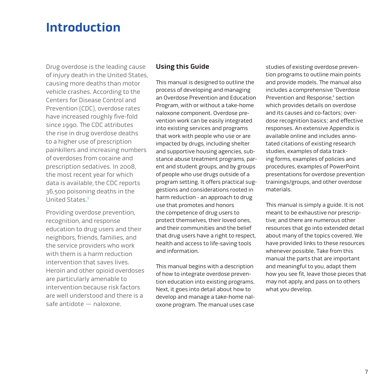# **Introduction**

Drug overdose is the leading cause of injury death in the United States, causing more deaths than motor vehicle crashes. According to the Centers for Disease Control and Prevention (CDC), overdose rates have increased roughly five-fold since 1990. The CDC attributes the rise in drug overdose deaths to a higher use of prescription painkillers and increasing numbers of overdoses from cocaine and prescription sedatives. In 2008, the most recent year for which data is available, the CDC reports 36,500 poisoning deaths in the United States.1

Providing overdose prevention, recognition, and response education to drug users and their neighbors, friends, families, and the service providers who work with them is a harm reduction intervention that saves lives. Heroin and other opioid overdoses are particularly amenable to intervention because risk factors are well understood and there is a safe antidote — naloxone.

# **Using this Guide**

This manual is designed to outline the process of developing and managing an Overdose Prevention and Education Program, with or without a take-home naloxone component. Overdose prevention work can be easily integrated into existing services and programs that work with people who use or are impacted by drugs, including shelter and supportive housing agencies, substance abuse treatment programs, parent and student groups, and by groups of people who use drugs outside of a program setting. It offers practical suggestions and considerations rooted in harm reduction - an approach to drug use that promotes and honors the competence of drug users to protect themselves, their loved ones, and their communities and the belief that drug users have a right to respect, health and access to life-saving tools and information.

This manual begins with a description of how to integrate overdose prevention education into existing programs. Next, it goes into detail about how to develop and manage a take-home naloxone program. The manual uses case studies of existing overdose prevention programs to outline main points and provide models. The manual also includes a comprehensive "Overdose Prevention and Response," section which provides details on overdose and its causes and co-factors; overdose recognition basics; and effective responses. An extensive [Appendix i](http://harmreduction.org/issues/overdose-prevention/tools-best-practices/manuals-best-practice/od-manual-appendix/)s available online and includes annotated citations of existing research studies, examples of data tracking forms, examples of policies and procedures, examples of PowerPoint presentations for overdose prevention trainings/groups, and other overdose materials.

This manual is simply a guide. It is not meant to be exhaustive nor prescriptive, and there are numerous other resources that go into extended detail about many of the topics covered. We have provided links to these resources whenever possible. Take from this manual the parts that are important and meaningful to you, adapt them how you see fit, leave those pieces that may not apply, and pass on to others what you develop.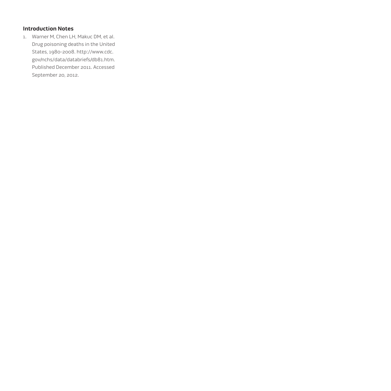# **Introduction Notes**

1. Warner M, Chen LH, Makuc DM, et al. Drug poisoning deaths in the United States, 1980-2008. http://www.cdc. [gov/nchs/data/databriefs/db81.htm.](http://www.cdc.)  Published December 2011. Accessed September 20, 2012.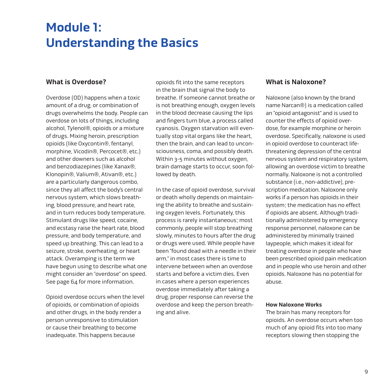# <span id="page-8-0"></span>**Module 1: Understanding the Basics**

## **What is Overdose?**

Overdose (OD) happens when a toxic amount of a drug, or combination of drugs overwhelms the body. People can overdose on lots of things, including alcohol, Tylenol®, opioids or a mixture of drugs. Mixing heroin, prescription opioids (like Oxycontin®, fentanyl, morphine, Vicodin®, Percocet®, etc.) and other downers such as alcohol and benzodiazepines (like Xanax®, Klonopin®, Valium®, Ativan®, etc.) are a particularly dangerous combo, since they all affect the body's central nervous system, which slows breathing, blood pressure, and heart rate, and in turn reduces body temperature. Stimulant drugs like speed, cocaine, and ecstasy raise the heart rate, blood pressure, and body temperature, and speed up breathing. This can lead to a seizure, stroke, overheating, or heart attack. Overamping is the term we have begun using to describe what one might consider an "overdose" on speed. See [page 64](#page-63-0) for more information.

Opioid overdose occurs when the level of opioids, or combination of opioids and other drugs, in the body render a person unresponsive to stimulation or cause their breathing to become inadequate. This happens because

opioids fit into the same receptors in the brain that signal the body to breathe. If someone cannot breathe or is not breathing enough, oxygen levels in the blood decrease causing the lips and fingers turn blue, a process called cyanosis. Oxygen starvation will eventually stop vital organs like the heart, then the brain, and can lead to unconsciousness, coma, and possibly death. Within 3-5 minutes without oxygen, brain damage starts to occur, soon followed by death.

In the case of opioid overdose, survival or death wholly depends on maintaining the ability to breathe and sustaining oxygen levels. Fortunately, this process is rarely instantaneous; most commonly, people will stop breathing slowly, minutes to hours after the drug or drugs were used. While people have been "found dead with a needle in their arm," in most cases there is time to intervene between when an overdose starts and before a victim dies. Even in cases where a person experiences overdose immediately after taking a drug, proper response can reverse the overdose and keep the person breathing and alive.

## **What is Naloxone?**

Naloxone (also known by the brand name Narcan®) is a medication called an "opioid antagonist" and is used to counter the effects of opioid overdose, for example morphine or heroin overdose. Specifically, naloxone is used in opioid overdose to counteract lifethreatening depression of the central nervous system and respiratory system, allowing an overdose victim to breathe normally. Naloxone is not a controlled substance (i.e., non-addictive), prescription medication. Naloxone only works if a person has opioids in their system; the medication has no effect if opioids are absent. Although traditionally administered by emergency response personnel, naloxone can be administered by minimally trained laypeople, which makes it ideal for treating overdose in people who have been prescribed opioid pain medication and in people who use heroin and other opioids. Naloxone has no potential for abuse.

#### **How Naloxone Works**

The brain has many receptors for opioids. An overdose occurs when too much of any opioid fits into too many receptors slowing then stopping the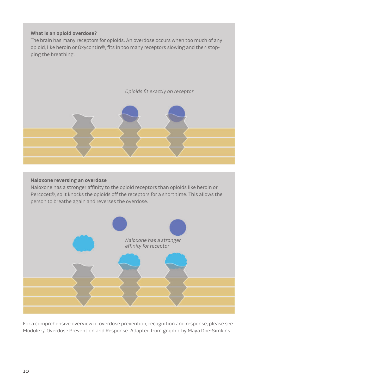#### **What is an opioid overdose?**

The brain has many receptors for opioids. An overdose occurs when too much of any opioid, like heroin or Oxycontin®, fits in too many receptors slowing and then stopping the breathing.



#### **Naloxone reversing an overdose**

Naloxone has a stronger affinity to the opioid receptors than opioids like heroin or Percocet®, so it knocks the opioids off the receptors for a short time. This allows the person to breathe again and reverses the overdose.



For a comprehensive overview of overdose prevention, recognition and response, please see [Module 5: Overdose Prevention and Response.](#page-52-0) Adapted from graphic by Maya Doe-Simkins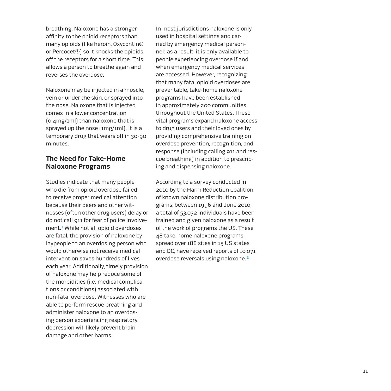breathing. Naloxone has a stronger affinity to the opioid receptors than many opioids (like heroin, Oxycontin® or Percocet®) so it knocks the opioids off the receptors for a short time. This allows a person to breathe again and reverses the overdose.

Naloxone may be injected in a muscle, vein or under the skin, or sprayed into the nose. Naloxone that is injected comes in a lower concentration (0.4mg/1ml) than naloxone that is sprayed up the nose (1mg/1ml). It is a temporary drug that wears off in 30-90 minutes.

## **The Need for Take-Home Naloxone Programs**

Studies indicate that many people who die from opioid overdose failed to receive proper medical attention because their peers and other witnesses (often other drug users) delay or do not call 911 for fear of police involvement.<sup>1</sup> While not all opioid overdoses are fatal, the provision of naloxone by laypeople to an overdosing person who would otherwise not receive medical intervention saves hundreds of lives each year. Additionally, timely provision of naloxone may help reduce some of the morbidities (i.e. medical complications or conditions) associated with non-fatal overdose. Witnesses who are able to perform rescue breathing and administer naloxone to an overdosing person experiencing respiratory depression will likely prevent brain damage and other harms.

In most jurisdictions naloxone is only used in hospital settings and carried by emergency medical personnel; as a result, it is only available to people experiencing overdose if and when emergency medical services are accessed. However, recognizing that many fatal opioid overdoses are preventable, take-home naloxone programs have been established in approximately 200 communities throughout the United States. These vital programs expand naloxone access to drug users and their loved ones by providing comprehensive training on overdose prevention, recognition, and response (including calling 911 and rescue breathing) in addition to prescribing and dispensing naloxone.

According to a survey conducted in 2010 by the Harm Reduction Coalition of known naloxone distribution programs, between 1996 and June 2010, a total of 53,032 individuals have been trained and given naloxone as a result of the work of programs the US. These 48 take-home naloxone programs, spread over 188 sites in 15 US states and DC, have received reports of 10,071 overdose reversals using naloxone.2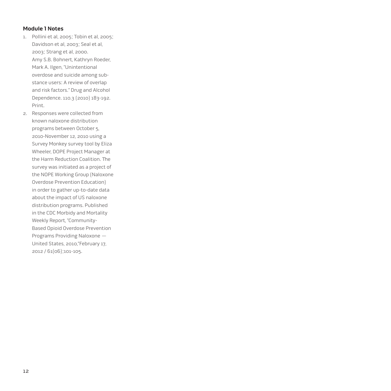#### **Module 1 Notes**

- 1. Pollini et al, 2005; Tobin et al, 2005; Davidson et al, 2003; Seal et al, 2003; Strang et al, 2000. Amy S.B. Bohnert, Kathryn Roeder, Mark A. Ilgen, "Unintentional overdose and suicide among substance users: A review of overlap and risk factors." Drug and Alcohol Dependence. 110.3 (2010) 183-192. Print.
- 2. Responses were collected from known naloxone distribution programs between October 5, 2010-November 12, 2010 using a Survey Monkey survey tool by Eliza Wheeler, DOPE Project Manager at the Harm Reduction Coalition. The survey was initiated as a project of the NOPE Working Group (Naloxone Overdose Prevention Education) in order to gather up-to-date data about the impact of US naloxone distribution programs. Published in the CDC Morbidy and Mortality Weekly Report, "Community-Based Opioid Overdose Prevention Programs Providing Naloxone — United States, 2010,"February 17, 2012 / 61(06);101-105.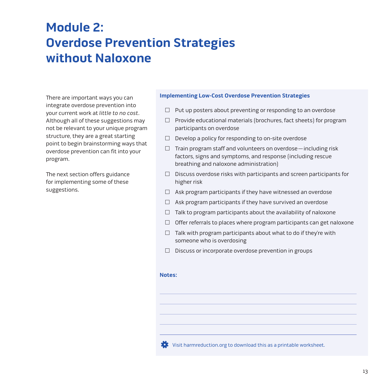# <span id="page-12-0"></span>**Module 2: Overdose Prevention Strategies without Naloxone**

There are important ways you can integrate overdose prevention into your current work at little to no cost. Although all of these suggestions may not be relevant to your unique program structure, they are a great starting point to begin brainstorming ways that overdose prevention can fit into your program.

The next section offers guidance for implementing some of these suggestions.

#### **Implementing Low-Cost Overdose Prevention Strategies**

- $\Box$  Put up posters about preventing or responding to an overdose
- $\Box$  Provide educational materials (brochures, fact sheets) for program participants on overdose
- $\Box$  Develop a policy for responding to on-site overdose
- $\Box$  Train program staff and volunteers on overdose including risk factors, signs and symptoms, and response (including rescue breathing and naloxone administration)
- $\Box$  Discuss overdose risks with participants and screen participants for higher risk
- $\Box$  Ask program participants if they have witnessed an overdose
- $\Box$  Ask program participants if they have survived an overdose
- $\Box$  Talk to program participants about the availability of naloxone
- $\Box$  Offer referrals to places where program participants can get naloxone
- $\Box$  Talk with program participants about what to do if they're with someone who is overdosing
- $\Box$  Discuss or incorporate overdose prevention in groups

#### **Notes:**

[Visit harmreduction.org to download this as a printable worksheet.](http://harmreduction.org/wp-content/uploads/2012/11/HRC_ODprevention_worksheet1.pdf)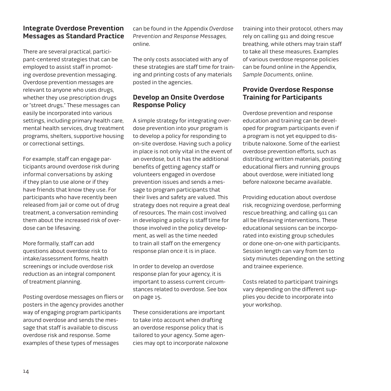# **Integrate Overdose Prevention Messages as Standard Practice**

There are several practical, participant-centered strategies that can be employed to assist staff in promoting overdose prevention messaging. Overdose prevention messages are relevant to anyone who uses drugs, whether they use prescription drugs or "street drugs." These messages can easily be incorporated into various settings, including primary health care, mental health services, drug treatment programs, shelters, supportive housing or correctional settings.

For example, staff can engage participants around overdose risk during informal conversations by asking if they plan to use alone or if they have friends that know they use. For participants who have recently been released from jail or come out of drug treatment, a conversation reminding them about the increased risk of overdose can be lifesaving.

More formally, staff can add questions about overdose risk to intake/assessment forms, health screenings or include overdose risk reduction as an integral component of treatment planning.

Posting overdose messages on fliers or posters in the agency provides another way of engaging program participants around overdose and sends the message that staff is available to discuss overdose risk and response. Some examples of these types of messages

can be found in th[e Appendix](http://harmreduction.org/issues/overdose-prevention/tools-best-practices/manuals-best-practice/od-manual-appendix/) Overdose Prevention and Response Messages, online.

The only costs associated with any of these strategies are staff time for training and printing costs of any materials posted in the agencies.

# **Develop an Onsite Overdose Response Policy**

A simple strategy for integrating overdose prevention into your program is to develop a policy for responding to on-site overdose. Having such a policy in place is not only vital in the event of an overdose, but it has the additional benefits of getting agency staff or volunteers engaged in overdose prevention issues and sends a message to program participants that their lives and safety are valued. This strategy does not require a great deal of resources. The main cost involved in developing a policy is staff time for those involved in the policy development, as well as the time needed to train all staff on the emergency response plan once it is in place.

In order to develop an overdose response plan for your agency, it is important to assess current circumstances related to overdose. See box on page 15.

These considerations are important to take into account when drafting an overdose response policy that is tailored to your agency. Some agencies may opt to incorporate naloxone training into their protocol, others may rely on calling 911 and doing rescue breathing, while others may train staff to take all these measures. Examples of various overdose response policies can be found online in th[e Appendix,](http://harmreduction.org/issues/overdose-prevention/tools-best-practices/manuals-best-practice/od-manual-appendix/)  Sample Documents, online.

# **Provide Overdose Response Training for Participants**

Overdose prevention and response education and training can be developed for program participants even if a program is not yet equipped to distribute naloxone. Some of the earliest overdose prevention efforts, such as distributing written materials, posting educational fliers and running groups about overdose, were initiated long before naloxone became available.

Providing education about overdose risk, recognizing overdose, performing rescue breathing, and calling 911 can all be lifesaving interventions. These educational sessions can be incorporated into existing group schedules or done one-on-one with participants. Session length can vary from ten to sixty minutes depending on the setting and trainee experience.

Costs related to participant trainings vary depending on the different supplies you decide to incorporate into your workshop.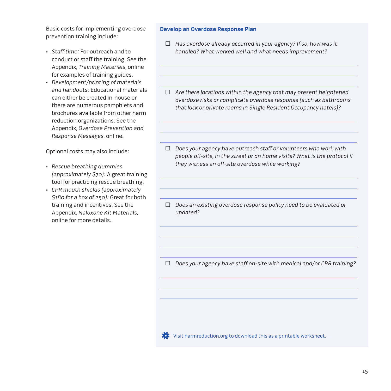Basic costs for implementing overdose prevention training include:

- • Staff time: For outreach and to conduct or staff the training. See the [Appendix,](http://harmreduction.org/issues/overdose-prevention/tools-best-practices/manuals-best-practice/od-manual-appendix/) Training Materials, online for examples of training guides.
- • Development/printing of materials and handouts: Educational materials can either be created in-house or there are numerous pamphlets and brochures available from other harm reduction organizations. See the [Appendix,](http://harmreduction.org/issues/overdose-prevention/tools-best-practices/manuals-best-practice/od-manual-appendix/) Overdose Prevention and Response Messages, online.

Optional costs may also include:

- • Rescue breathing dummies (approximately \$70): A great training tool for practicing rescue breathing.
- • CPR mouth shields (approximately \$180 for a box of 250): Great for both training and incentives. See the [Appendix](http://harmreduction.org/issues/overdose-prevention/tools-best-practices/manuals-best-practice/od-manual-appendix/), Naloxone Kit Materials, online for more details.

#### **Develop an Overdose Response Plan**

- $\Box$  Has overdose already occurred in your agency? If so, how was it handled? What worked well and what needs improvement?
- $\Box$  Are there locations within the agency that may present heightened overdose risks or complicate overdose response (such as bathrooms that lock or private rooms in Single Resident Occupancy hotels)?
- $\Box$  Does your agency have outreach staff or volunteers who work with people off-site, in the street or on home visits? What is the protocol if they witness an off-site overdose while working?
- $\Box$  Does an existing overdose response policy need to be evaluated or updated?

 $\Box$  Does your agency have staff on-site with medical and/or CPR training?

**[Visit harmreduction.org to download this as a printable worksheet.](http://harmreduction.org/wp-content/uploads/2012/11/HRC_ODprevention_worksheet2.pdf)**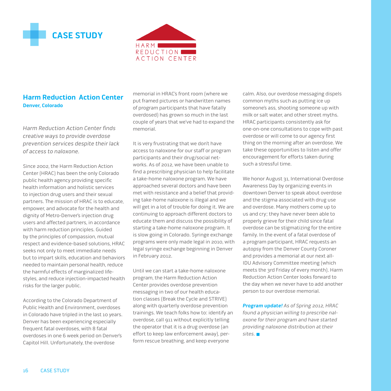<span id="page-15-0"></span>



# **Harm Reduction Action Center Denver, Colorado**

Harm Reduction Action Center finds creative ways to provide overdose prevention services despite their lack of access to naloxone.

Since 2002, the Harm Reduction Action Center (HRAC) has been the only Colorado public health agency providing specific health information and holistic services to injection drug users and their sexual partners. The mission of HRAC is to educate, empower, and advocate for the health and dignity of Metro-Denver's injection drug users and affected partners, in accordance with harm reduction principles. Guided by the principles of compassion, mutual respect and evidence-based solutions, HRAC seeks not only to meet immediate needs but to impart skills, education and behaviors needed to maintain personal health, reduce the harmful effects of marginalized lifestyles, and reduce injection-impacted health risks for the larger public.

According to the Colorado Department of Public Health and Environment, overdoses in Colorado have tripled in the last 10 years. Denver has been experiencing especially frequent fatal overdoses, with 8 fatal overdoses in one 6 week period on Denver's Capitol Hill. Unfortunately, the overdose

memorial in HRAC's front room (where we put framed pictures or handwritten names of program participants that have fatally overdosed) has grown so much in the last couple of years that we've had to expand the memorial.

It is very frustrating that we don't have access to naloxone for our staff or program participants and their drug/social networks. As of 2012, we have been unable to find a prescribing physician to help facilitate a take-home naloxone program. We have approached several doctors and have been met with resistance and a belief that providing take-home naloxone is illegal and we will get in a lot of trouble for doing it. We are continuing to approach different doctors to educate them and discuss the possibility of starting a take-home naloxone program. It is slow going in Colorado. Syringe exchange programs were only made legal in 2010, with legal syringe exchange beginning in Denver in February 2012.

Until we can start a take-home naloxone program, the Harm Reduction Action Center provides overdose prevention messaging in two of our health education classes (Break the Cycle and STRIVE) along with quarterly overdose prevention trainings. We teach folks how to: identify an overdose, call 911 without explicitly telling the operator that it is a drug overdose (an effort to keep law enforcement away), perform rescue breathing, and keep everyone

calm. Also, our overdose messaging dispels common myths such as putting ice up someone's ass, shooting someone up with milk or salt water, and other street myths. HRAC participants consistently ask for one-on-one consultations to cope with past overdose or will come to our agency first thing on the morning after an overdose. We take these opportunities to listen and offer encouragement for efforts taken during such a stressful time.

We honor August 31, International Overdose Awareness Day by organizing events in downtown Denver to speak about overdose and the stigma associated with drug use and overdose. Many mothers come up to us and cry; they have never been able to properly grieve for their child since fatal overdose can be stigmatizing for the entire family. In the event of a fatal overdose of a program participant, HRAC requests an autopsy from the Denver County Coroner and provides a memorial at our next all-IDU Advisory Committee meeting (which meets the 3rd Friday of every month). Harm Reduction Action Center looks forward to the day when we never have to add another person to our overdose memorial.

**Program update!** As of Spring 2012, HRAC found a physician willing to prescribe naloxone for their program and have started providing naloxone distribution at their sites.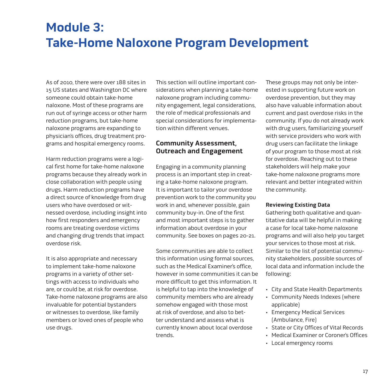# <span id="page-16-0"></span>**Module 3: Take-Home Naloxone Program Development**

As of 2010, there were over 188 sites in 15 US states and Washington DC where someone could obtain take-home naloxone. Most of these programs are run out of syringe access or other harm reduction programs, but take-home naloxone programs are expanding to physician's offices, drug treatment programs and hospital emergency rooms.

Harm reduction programs were a logical first home for take-home naloxone programs because they already work in close collaboration with people using drugs. Harm reduction programs have a direct source of knowledge from drug users who have overdosed or witnessed overdose, including insight into how first responders and emergency rooms are treating overdose victims and changing drug trends that impact overdose risk.

It is also appropriate and necessary to implement take-home naloxone programs in a variety of other settings with access to individuals who are, or could be, at risk for overdose. Take-home naloxone programs are also invaluable for potential bystanders or witnesses to overdose, like family members or loved ones of people who use drugs.

This section will outline important considerations when planning a take-home naloxone program including community engagement, legal considerations, the role of medical professionals and special considerations for implementation within different venues.

# **Community Assessment, Outreach and Engagement**

Engaging in a community planning process is an important step in creating a take-home naloxone program. It is important to tailor your overdose prevention work to the community you work in and, whenever possible, gain community buy-in. One of the first and most important steps is to gather information about overdose in your community. See boxes on pages 20-21.

Some communities are able to collect this information using formal sources, such as the Medical Examiner's office, however in some communities it can be more difficult to get this information. It is helpful to tap into the knowledge of community members who are already somehow engaged with those most at risk of overdose, and also to better understand and assess what is currently known about local overdose trends.

These groups may not only be interested in supporting future work on overdose prevention, but they may also have valuable information about current and past overdose risks in the community. If you do not already work with drug users, familiarizing yourself with service providers who work with drug users can facilitate the linkage of your program to those most at risk for overdose. Reaching out to these stakeholders will help make your take-home naloxone programs more relevant and better integrated within the community.

#### **Reviewing Existing Data**

Gathering both qualitative and quantitative data will be helpful in making a case for local take-home naloxone programs and will also help you target your services to those most at risk. Similar to the list of potential community stakeholders, possible sources of local data and information include the following:

- • City and State Health Departments
- • Community Needs Indexes (where applicable)
- • Emergency Medical Services (Ambulance, Fire)
- • State or City Offices of Vital Records
- • Medical Examiner or Coroner's Offices
- • Local emergency rooms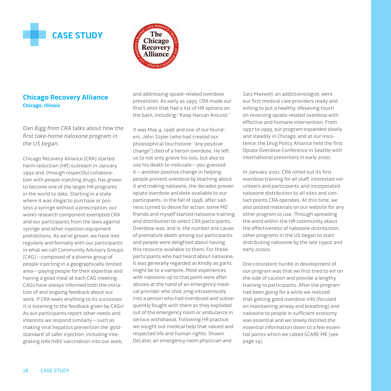<span id="page-17-0"></span>



# **Chicago Recovery Alliance Chicago, Illinois**

Dan Bigg from CRA talks about how the first take-home naloxone program in the US began.

Chicago Recovery Alliance (CRA) started harm reduction (HR) outreach in January 1992 and, through respectful collaboration with people injecting drugs, has grown to become one of the larger HR programs in the world to date. Starting in a state where it was illegal to purchase or possess a syringe without a prescription, our work's research component exempted CRA and our participants from the laws against syringe and other injection equipment prohibitions. As we've grown, we have met regularly and formally with our participants in what we call Community Advisory Groups (CAG)—composed of a diverse group of people injecting in a geographically limited area—paying people for their expertise and having a good meal at each CAG meeting. CAGs have always informed both the initiation of and ongoing feedback about our work. If CRA owes anything to its successes it is listening to the feedback given by CAGs! As our participants report other needs and interests we respond similarly—such as making viral hepatitis prevention the 'goldstandard' of safer injection, including integrating HAV/HBV vaccination into our work,

and addressing opiate-related overdose prevention. As early as 1995, CRA made our first t-shirt that had a list of HR options on the back, including: "Keep Narcan Around."

It was May 4, 1996 and one of our founders, John Szyler (who had created our philosophical touchstone: "any positive change") died of a heroin overdose. He left us to not only grieve his loss, but also to use his death to motivate—you guessed it—another positive change in helping people prevent overdose by teaching about it and making naloxone, the decades proven opiate overdose antidote available to our participants. In the fall of 1996, after sadness turned to desire for action, some MD friends and myself started naloxone training and distribution to select CRA participants. Overdose was, and is, the number one cause of premature death among our participants and people were delighted about having this resource available to them. For those participants who had heard about naloxone, it was generally regarded as kindly as garlic might be to a vampire. Most experiences with naloxone up to that point were after abuses at the hand of an emergency medical provider who shot 2mg intravenously into a person who had overdosed and subsequently fought with them as they exploded out of the emergency room or ambulance in serious withdrawal. Following HR practice, we sought out medical help that valued and respected life and human rights. Shawn DeLater, an emergency room physician and

Sarz Maxwell, an addictionologist, were our first medical care providers ready and willing to put a healthy, lifesaving touch on reversing opiate-related overdose with effective and humane intervention. From 1997 to 1999, our program expanded slowly and steadily in Chicago, and at our insistence, the Drug Policy Alliance held the first Opiate Overdose Conference in Seattle with international presenters in early 2000.

In January 2001, CRA rolled out its first overdose training for all staff, interested volunteers and participants and incorporated naloxone distribution to all sites and contact points CRA operates. At this time, we also posted materials on our website for any other program to use. Through spreading the word within the HR community about the effectiveness of naloxone distribution, other programs in the US began to start distributing naloxone by the late 1990s and early 2000s.

One consistent hurdle in development of our program was that we first tried to err on the side of caution and provide a lengthy training to participants. After the program had been going for a while we realized that getting good overdose info (focused on maintaining airway and breathing) and naloxone to people in sufficient economy was essential and we slowly distilled the essential information down to a few essential points which we called SCARE ME (see page 19).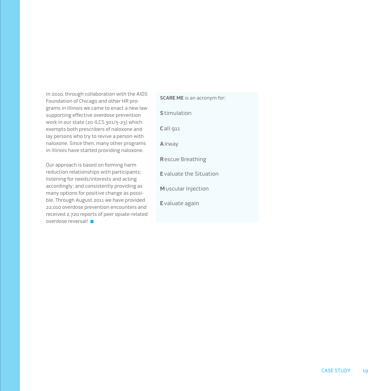In 2010, through collaboration with the AIDS Foundation of Chicago and other HR programs in Illinois we came to enact a new law supporting effective overdose prevention work in our state (20 ILCS 301/5-23) which exempts both prescribers of naloxone and lay persons who try to revive a person with naloxone. Since then, many other programs in Illinois have started providing naloxone.

Our approach is based on forming harm reduction relationships with participants; listening for needs/interests and acting accordingly; and consistently providing as many options for positive change as possible. Through August 2011 we have provided 22,010 overdose prevention encounters and received 2,720 reports of peer opiate-related overdose reversal!

**SCARE ME** is an acronym for: **S**timulation **C**all 911 **A**irway **R**escue Breathing **E**valuate the Situation **M**uscular Injection **E**valuate again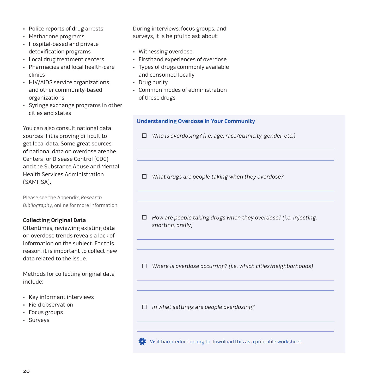- • Police reports of drug arrests
- • Methadone programs
- • Hospital-based and private detoxification programs
- • Local drug treatment centers
- • Pharmacies and local health-care clinics
- • HIV/AIDS service organizations and other community-based organizations
- • Syringe exchange programs in other cities and states

You can also consult national data sources if it is proving difficult to get local data. Some great sources of national data on overdose are the Centers for Disease Control (CDC) and the Substance Abuse and Mental Health Services Administration (SAMHSA).

Please see the [Appendix,](http://harmreduction.org/issues/overdose-prevention/tools-best-practices/manuals-best-practice/od-manual-appendix/) Research Bibliography, online for more information.

#### **Collecting Original Data**

Oftentimes, reviewing existing data on overdose trends reveals a lack of information on the subject. For this reason, it is important to collect new data related to the issue.

Methods for collecting original data include:

- • Key informant interviews
- • Field observation
- • Focus groups
- • Surveys

During interviews, focus groups, and surveys, it is helpful to ask about:

- • Witnessing overdose
- • Firsthand experiences of overdose
- • Types of drugs commonly available and consumed locally
- • Drug purity
- • Common modes of administration of these drugs

#### **Understanding Overdose in Your Community**

- $\Box$  Who is overdosing? (i.e. age, race/ethnicity, gender, etc.)
- $\Box$  What drugs are people taking when they overdose?
- $\Box$  How are people taking drugs when they overdose? (i.e. injecting, snorting, orally)

 $\Box$  Where is overdose occurring? (i.e. which cities/neighborhoods)

 $\Box$  In what settings are people overdosing?



[Visit harmreduction.org to download this as a printable worksheet.](http://harmreduction.org/wp-content/uploads/2012/11/HRC_ODprevention_worksheet3.pdf)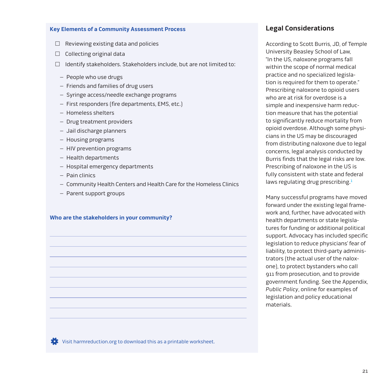#### **Key Elements of a Community Assessment Process**

- $\Box$  Reviewing existing data and policies
- $\Box$  Collecting original data
- $\Box$  Identify stakeholders. Stakeholders include, but are not limited to:
	- People who use drugs
	- Friends and families of drug users
	- Syringe access/needle exchange programs
	- First responders (fire departments, EMS, etc.)
	- Homeless shelters
	- Drug treatment providers
	- Jail discharge planners
	- Housing programs
	- HIV prevention programs
	- Health departments
	- Hospital emergency departments
	- Pain clinics
	- Community Health Centers and Health Care for the Homeless Clinics
	- Parent support groups

#### **Who are the stakeholders in your community?**

**Legal Considerations**

According to Scott Burris, JD, of Temple University Beasley School of Law, "In the US, naloxone programs fall within the scope of normal medical practice and no specialized legislation is required for them to operate." Prescribing naloxone to opioid users who are at risk for overdose is a simple and inexpensive harm reduction measure that has the potential to significantly reduce mortality from opioid overdose. Although some physicians in the US may be discouraged from distributing naloxone due to legal concerns, legal analysis conducted by Burris finds that the legal risks are low. Prescribing of naloxone in the US is fully consistent with state and federal laws regulating drug prescribing. $<sup>1</sup>$ </sup>

Many successful programs have moved forward under the existing legal framework and, further, have advocated with health departments or state legislatures for funding or additional political support. Advocacy has included specific legislation to reduce physicians' fear of liability, to protect third-party administrators (the actual user of the naloxone), to protect bystanders who call 911 from prosecution, and to provide government funding. See the [Appendix,](http://harmreduction.org/issues/overdose-prevention/tools-best-practices/manuals-best-practice/od-manual-appendix/)  Public Policy, online for examples of legislation and policy educational materials.

[Visit harmreduction.org to download this as a printable worksheet.](http://harmreduction.org/wp-content/uploads/2012/11/HRC_ODprevention_worksheet3.pdf)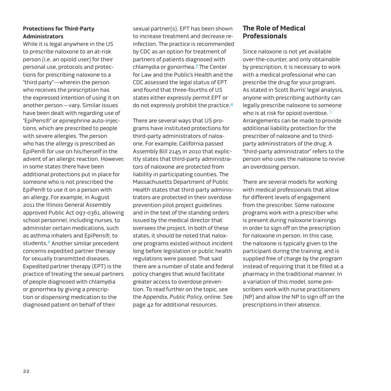## **Protections for Third-Party Administrators**

While it is legal anywhere in the US to prescribe naloxone to an at-risk person (i.e. an opioid user) for their personal use, protocols and protections for prescribing naloxone to a "third party"—wherein the person who receives the prescription has the expressed intention of using it on another person—vary. Similar issues have been dealt with regarding use of "EpiPens®" or epinephrine auto-injections, which are prescribed to people with severe allergies. The person who has the allergy is prescribed an EpiPen® for use on his/herself in the advent of an allergic reaction. However, in some states there have been additional protections put in place for someone who is not prescribed the EpiPen® to use it on a person with an allergy. For example, in August 2011 the Illinois General Assembly approved Public Act 097-0361, allowing school personnel, including nurses, to administer certain medications, such as asthma inhalers and EpiPens®, to students.<sup>2</sup> Another similar precedent concerns expedited partner therapy for sexually transmitted diseases. Expedited partner therapy (EPT) is the practice of treating the sexual partners of people diagnosed with chlamydia or gonorrhea by giving a prescription or dispensing medication to the diagnosed patient on behalf of their

sexual partner(s). EPT has been shown to increase treatment and decrease reinfection. The practice is recommended by CDC as an option for treatment of partners of patients diagnosed with chlamydia or gonorrhea.3 The Center for Law and the Public's Health and the CDC assessed the legal status of EPT and found that three-fourths of US states either expressly permit EPT or do not expressly prohibit the practice.4

There are several ways that US programs have instituted protections for third-party administrators of naloxone. For example, California passed Assembly Bill 2145 in 2010 that explicitly states that third-party administrators of naloxone are protected from liability in participating counties. The Massachusetts Department of Public Health states that third-party administrators are protected in their overdose prevention pilot project guidelines and in the text of the standing orders issued by the medical director that oversees the project. In both of these states, it should be noted that naloxone programs existed without incident long before legislation or public health regulations were passed. That said there are a number of state and federal policy changes that would facilitate greater access to overdose prevention. To read further on the topic, see th[e Appendix,](http://harmreduction.org/issues/overdose-prevention/tools-best-practices/manuals-best-practice/od-manual-appendix/) Public Policy, online. See [page 42](#page-41-0) for additional resources.

## **The Role of Medical Professionals**

Since naloxone is not yet available over-the-counter, and only obtainable by prescription, it is necessary to work with a medical professional who can prescribe the drug for your program. As stated in Scott Burris' legal analysis, anyone with prescribing authority can legally prescribe naloxone to someone who is at risk for opioid overdose.<sup>5</sup> Arrangements can be made to provide additional liability protection for the prescriber of naloxone and to thirdparty administrators of the drug. A "third-party administrator" refers to the person who uses the naloxone to revive an overdosing person.

There are several models for working with medical professionals that allow for different levels of engagement from the prescriber. Some naloxone programs work with a prescriber who is present during naloxone trainings in order to sign off on the prescription for naloxone in person. In this case, the naloxone is typically given to the participant during the training, and is supplied free of charge by the program instead of requiring that it be filled at a pharmacy in the traditional manner. In a variation of this model, some prescribers work with nurse practitioners (NP) and allow the NP to sign off on the prescriptions in their absence.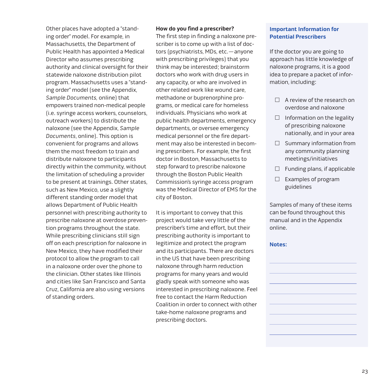Other places have adopted a "standing order" model. For example, in Massachusetts, the Department of Public Health has appointed a Medical Director who assumes prescribing authority and clinical oversight for their statewide naloxone distribution pilot program. Massachusetts uses a "standing order" model (see the [Appendix,](http://harmreduction.org/issues/overdose-prevention/tools-best-practices/manuals-best-practice/od-manual-appendix/) Sample Documents, online) that empowers trained non-medical people (i.e. syringe access workers, counselors, outreach workers) to distribute the naloxone (see the Appendix, Sample Documents, online). This option is convenient for programs and allows them the most freedom to train and distribute naloxone to participants directly within the community, without the limitation of scheduling a provider to be present at trainings. Other states, such as New Mexico, use a slightly different standing order model that allows Department of Public Health personnel with prescribing authority to prescribe naloxone at overdose prevention programs throughout the state. While prescribing clinicians still sign off on each prescription for naloxone in New Mexico, they have modified their protocol to allow the program to call in a naloxone order over the phone to the clinician. Other states like Illinois and cities like San Francisco and Santa Cruz, California are also using versions of standing orders.

#### **How do you find a prescriber?**

The first step in finding a naloxone prescriber is to come up with a list of doctors (psychiatrists, MDs, etc.—anyone with prescribing privileges) that you think may be interested; brainstorm doctors who work with drug users in any capacity, or who are involved in other related work like wound care, methadone or buprenorphine programs, or medical care for homeless individuals. Physicians who work at public health departments, emergency departments, or oversee emergency medical personnel or the fire department may also be interested in becoming prescribers. For example, the first doctor in Boston, Massachusetts to step forward to prescribe naloxone through the Boston Public Health Commission's syringe access program was the Medical Director of EMS for the city of Boston.

It is important to convey that this project would take very little of the prescriber's time and effort, but their prescribing authority is important to legitimize and protect the program and its participants. There are doctors in the US that have been prescribing naloxone through harm reduction programs for many years and would gladly speak with someone who was interested in prescribing naloxone. Feel free to contact the Harm Reduction Coalition in order to connect with other take-home naloxone programs and prescribing doctors.

### **Important Information for Potential Prescribers**

If the doctor you are going to approach has little knowledge of naloxone programs, it is a good idea to prepare a packet of information, including:

- $\Box$  A review of the research on overdose and naloxone
- $\Box$  Information on the legality of prescribing naloxone nationally, and in your area
- $\Box$  Summary information from any community planning meetings/initiatives
- $\Box$  Funding plans, if applicable
- $\Box$  Examples of program guidelines

Samples of many of these items can be found throughout this manual and in th[e Appendix](http://harmreduction.org/issues/overdose-prevention/tools-best-practices/manuals-best-practice/od-manual-appendix/)  online.

#### **Notes:**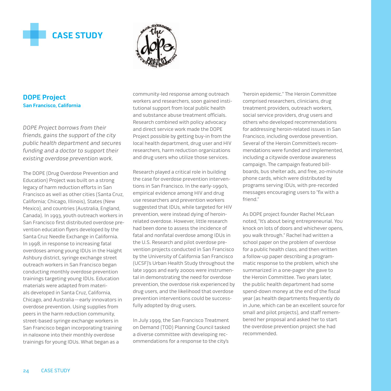<span id="page-23-0"></span>



## **DOPE Project San Francisco, California**

DOPE Project borrows from their friends, gains the support of the city public health department and secures funding and a doctor to support their existing overdose prevention work.

The DOPE (Drug Overdose Prevention and Education) Project was built on a strong legacy of harm reduction efforts in San Francisco as well as other cities (Santa Cruz, California; Chicago, Illinois), States (New Mexico), and countries (Australia, England, Canada). In 1993, youth outreach workers in San Francisco first distributed overdose prevention education flyers developed by the Santa Cruz Needle Exchange in California. In 1998, in response to increasing fatal overdoses among young IDUs in the Haight Ashbury district, syringe exchange street outreach workers in San Francisco began conducting monthly overdose prevention trainings targeting young IDUs. Education materials were adapted from materials developed in Santa Cruz, California, Chicago, and Australia—early innovators in overdose prevention. Using supplies from peers in the harm reduction community, street-based syringe exchange workers in San Francisco began incorporating training in naloxone into their monthly overdose trainings for young IDUs. What began as a

community-led response among outreach workers and researchers, soon gained institutional support from local public health and substance abuse treatment officials. Research combined with policy advocacy and direct service work made the DOPE Project possible by getting buy-in from the local health department, drug user and HIV researchers, harm reduction organizations and drug users who utilize those services.

Research played a critical role in building the case for overdose prevention interventions in San Francisco. In the early-1990's, empirical evidence among HIV and drug use researchers and prevention workers suggested that IDUs, while targeted for HIV prevention, were instead dying of heroinrelated overdose. However, little research had been done to assess the incidence of fatal and nonfatal overdose among IDUs in the U.S. Research and pilot overdose prevention projects conducted in San Francisco by the University of California San Francisco (UCSF)'s Urban Health Study throughout the late 1990s and early 2000s were instrumental in demonstrating the need for overdose prevention, the overdose risk experienced by drug users, and the likelihood that overdose prevention interventions could be successfully adopted by drug users.

In July 1999, the San Francisco Treatment on Demand (TOD) Planning Council tasked a diverse committee with developing recommendations for a response to the city's

"heroin epidemic." The Heroin Committee comprised researchers, clinicians, drug treatment providers, outreach workers, social service providers, drug users and others who developed recommendations for addressing heroin-related issues in San Francisco, including overdose prevention. Several of the Heroin Committee's recommendations were funded and implemented, including a citywide overdose awareness campaign. The campaign featured billboards, bus shelter ads, and free, 20-minute phone cards, which were distributed by programs serving IDUs, with pre-recorded messages encouraging users to "fix with a friend."

As DOPE project founder Rachel McLean noted, "It's about being entrepreneurial. You knock on lots of doors and whichever opens, you walk through." Rachel had written a school paper on the problem of overdose for a public health class, and then written a follow-up paper describing a programmatic response to the problem, which she summarized in a one-pager she gave to the Heroin Committee. Two years later, the public health department had some spend-down money at the end of the fiscal year (as health departments frequently do in June, which can be an excellent source for small and pilot projects), and staff remembered her proposal and asked her to start the overdose prevention project she had recommended.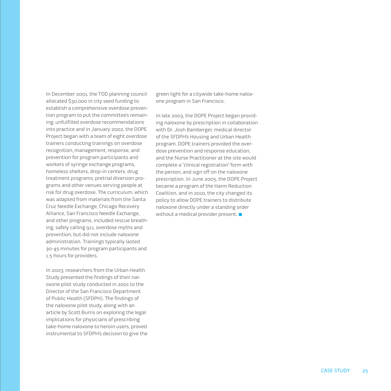In December 2001, the TOD planning council allocated \$30,000 in city seed funding to establish a comprehensive overdose prevention program to put the committee's remaining, unfulfilled overdose recommendations into practice and in January 2002, the DOPE Project began with a team of eight overdose trainers conducting trainings on overdose recognition, management, response, and prevention for program participants and workers of syringe exchange programs, homeless shelters, drop-in centers, drug treatment programs, pretrial diversion programs and other venues serving people at risk for drug overdose. The curriculum, which was adapted from materials from the Santa Cruz Needle Exchange, Chicago Recovery Alliance, San Francisco Needle Exchange, and other programs, included rescue breathing, safely calling 911, overdose myths and prevention, but did not include naloxone administration. Trainings typically lasted 30-45 minutes for program participants and 1.5 hours for providers.

In 2003, researchers from the Urban Health Study presented the findings of their naloxone pilot study conducted in 2001 to the Director of the San Francisco Department of Public Health (SFDPH). The findings of the naloxone pilot study, along with an article by Scott Burris on exploring the legal implications for physicians of prescribing take-home naloxone to heroin users, proved instrumental to SFDPH's decision to give the green light for a citywide take-home naloxone program in San Francisco.

In late 2003, the DOPE Project began providing naloxone by prescription in collaboration with Dr. Josh Bamberger, medical director of the SFDPH's Housing and Urban Health program. DOPE trainers provided the overdose prevention and response education, and the Nurse Practitioner at the site would complete a "clinical registration" form with the person, and sign off on the naloxone prescription. In June 2005, the DOPE Project became a program of the Harm Reduction Coalition, and in 2010, the city changed its policy to allow DOPE trainers to distribute naloxone directly under a standing order without a medical provider present.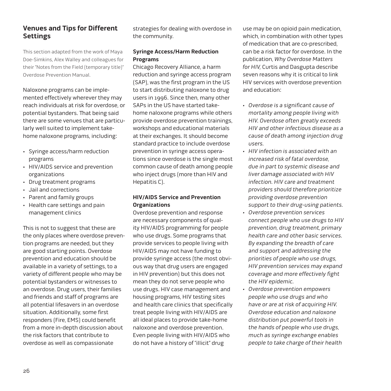# **Venues and Tips for Different Settings**

This section adapted from the work of Maya Doe-Simkins, Alex Walley and colleagues for their "Notes from the Field (temporary title)" Overdose Prevention Manual.

Naloxone programs can be implemented effectively wherever they may reach individuals at risk for overdose, or potential bystanders. That being said there are some venues that are particularly well suited to implement takehome naloxone programs, including:

- • Syringe access/harm reduction programs
- • HIV/AIDS service and prevention organizations
- • Drug treatment programs
- • Jail and corrections
- • Parent and family groups
- • Health care settings and pain management clinics

This is not to suggest that these are the only places where overdose prevention programs are needed, but they are good starting points. Overdose prevention and education should be available in a variety of settings, to a variety of different people who may be potential bystanders or witnesses to an overdose. Drug users, their families and friends and staff of programs are all potential lifesavers in an overdose situation. Additionally, some first responders (Fire, EMS) could benefit from a more in-depth discussion about the risk factors that contribute to overdose as well as compassionate

strategies for dealing with overdose in the community.

## **Syringe Access/Harm Reduction Programs**

Chicago Recovery Alliance, a harm reduction and syringe access program (SAP), was the first program in the US to start distributing naloxone to drug users in 1996. Since then, many other SAPs in the US have started takehome naloxone programs while others provide overdose prevention trainings, workshops and educational materials at their exchanges. It should become standard practice to include overdose prevention in syringe access operations since overdose is the single most common cause of death among people who inject drugs (more than HIV and Hepatitis C).

## **HIV/AIDS Service and Prevention Organizations**

Overdose prevention and response are necessary components of quality HIV/AIDS programming for people who use drugs. Some programs that provide services to people living with HIV/AIDS may not have funding to provide syringe access (the most obvious way that drug users are engaged in HIV prevention) but this does not mean they do not serve people who use drugs. HIV case management and housing programs, HIV testing sites and health care clinics that specifically treat people living with HIV/AIDS are all ideal places to provide take-home naloxone and overdose prevention. Even people living with HIV/AIDS who do not have a history of "illicit" drug

use may be on opioid pain medication, which, in combination with other types of medication that are co-prescribed, can be a risk factor for overdose. In the publication, Why Overdose Matters for HIV, Curtis and Dasgupta describe seven reasons why it is critical to link HIV services with overdose prevention and education:

- • Overdose is a significant cause of mortality among people living with HIV. Overdose often greatly exceeds HIV and other infectious disease as a cause of death among injection drug users.
- • HIV infection is associated with an increased risk of fatal overdose, due in part to systemic disease and liver damage associated with HIV infection. HIV care and treatment providers should therefore prioritize providing overdose prevention support to their drug-using patients.
- • Overdose prevention services connect people who use drugs to HIV prevention, drug treatment, primary health care and other basic services. By expanding the breadth of care and support and addressing the priorities of people who use drugs, HIV prevention services may expand coverage and more effectively fight the HIV epidemic.
- • Overdose prevention empowers people who use drugs and who have or are at risk of acquiring HIV. Overdose education and naloxone distribution put powerful tools in the hands of people who use drugs, much as syringe exchange enables people to take charge of their health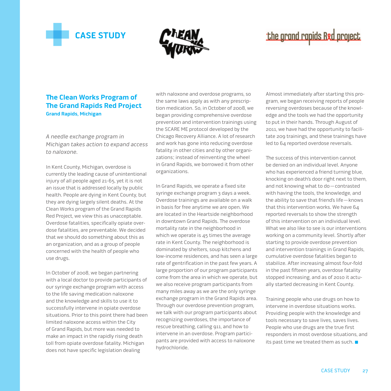<span id="page-26-0"></span>



# the grand rapids Red project

## **The Clean Works Program of The Grand Rapids Red Project Grand Rapids, Michigan**

A needle exchange program in Michigan takes action to expand access to naloxone.

In Kent County, Michigan, overdose is currently the leading cause of unintentional injury of all people aged 21-65, yet it is not an issue that is addressed locally by public health. People are dying in Kent County, but they are dying largely silent deaths. At the Clean Works program of the Grand Rapids Red Project, we view this as unacceptable. Overdose fatalities, specifically opiate overdose fatalities, are preventable. We decided that we should do something about this as an organization, and as a group of people concerned with the health of people who use drugs.

In October of 2008, we began partnering with a local doctor to provide participants of our syringe exchange program with access to the life saving medication naloxone and the knowledge and skills to use it to successfully intervene in opiate overdose situations. Prior to this point there had been limited naloxone access within the City of Grand Rapids, but more was needed to make an impact in the rapidly rising death toll from opiate overdose fatality. Michigan does not have specific legislation dealing

with naloxone and overdose programs, so the same laws apply as with any prescription medication. So, in October of 2008, we began providing comprehensive overdose prevention and intervention trainings using the SCARE ME protocol developed by the Chicago Recovery Alliance. A lot of research and work has gone into reducing overdose fatality in other cities and by other organizations; instead of reinventing the wheel in Grand Rapids, we borrowed it from other organizations.

In Grand Rapids, we operate a fixed site syringe exchange program 3 days a week. Overdose trainings are available on a walk in basis for free anytime we are open. We are located in the Heartside neighborhood in downtown Grand Rapids. The overdose mortality rate in the neighborhood in which we operate is 45 times the average rate in Kent County. The neighborhood is dominated by shelters, soup kitchens and low-income residences, and has seen a large rate of gentrification in the past few years. A large proportion of our program participants come from the area in which we operate, but we also receive program participants from many miles away as we are the only syringe exchange program in the Grand Rapids area. Through our overdose prevention program, we talk with our program participants about recognizing overdoses, the importance of rescue breathing, calling 911, and how to intervene in an overdose. Program participants are provided with access to naloxone hydrochloride.

Almost immediately after starting this program, we began receiving reports of people reversing overdoses because of the knowledge and the tools we had the opportunity to put in their hands. Through August of 2011, we have had the opportunity to facilitate 209 trainings, and these trainings have led to 64 reported overdose reversals.

The success of this intervention cannot be denied on an individual level. Anyone who has experienced a friend turning blue, knocking on death's door right next to them, and not knowing what to do—contrasted with having the tools, the knowledge, and the ability to save that friend's life—knows that this intervention works. We have 64 reported reversals to show the strength of this intervention on an individual level. What we also like to see is our interventions working on a community level. Shortly after starting to provide overdose prevention and intervention trainings in Grand Rapids, cumulative overdose fatalities began to stabilize. After increasing almost four-fold in the past fifteen years, overdose fatality stopped increasing, and as of 2010 it actually started decreasing in Kent County.

Training people who use drugs on how to intervene in overdose situations works. Providing people with the knowledge and tools necessary to save lives, saves lives. People who use drugs are the true first responders in most overdose situations, and its past time we treated them as such.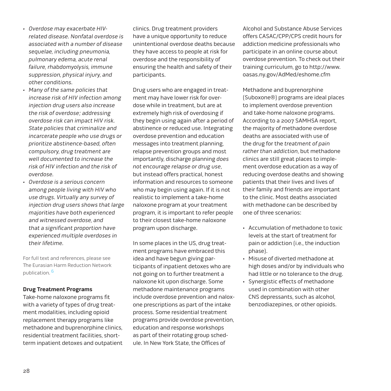- • Overdose may exacerbate HIVrelated disease. Nonfatal overdose is associated with a number of disease sequelae, including pneumonia, pulmonary edema, acute renal failure, rhabdomyolysis, immune suppression, physical injury, and other conditions.
- • Many of the same policies that increase risk of HIV infection among injection drug users also increase the risk of overdose; addressing overdose risk can impact HIV risk. State policies that criminalize and incarcerate people who use drugs or prioritize abstinence-based, often compulsory, drug treatment are well documented to increase the risk of HIV infection and the risk of overdose.
- • Overdose is a serious concern among people living with HIV who use drugs. Virtually any survey of injection drug users shows that large majorities have both experienced and witnessed overdose, and that a significant proportion have experienced multiple overdoses in their lifetime.

For full text and references, please see [The Eurasian Harm Reduction Network](http://www.harm-reduction.org/images/stories/library/why_overdose_prevention_matters_for_hiv.pdf) publication. 6

#### **Drug Treatment Programs**

Take-home naloxone programs fit with a variety of types of drug treatment modalities, including opioid replacement therapy programs like methadone and buprenorphine clinics, residential treatment facilities, shortterm inpatient detoxes and outpatient clinics. Drug treatment providers have a unique opportunity to reduce unintentional overdose deaths because they have access to people at risk for overdose and the responsibility of ensuring the health and safety of their participants.

Drug users who are engaged in treatment may have lower risk for overdose while in treatment, but are at extremely high risk of overdosing if they begin using again after a period of abstinence or reduced use. Integrating overdose prevention and education messages into treatment planning, relapse prevention groups and most importantly, discharge planning does not encourage relapse or drug use, but instead offers practical, honest information and resources to someone who may begin using again. If it is not realistic to implement a take-home naloxone program at your treatment program, it is important to refer people to their closest take-home naloxone program upon discharge.

In some places in the US, drug treatment programs have embraced this idea and have begun giving participants of inpatient detoxes who are not going on to further treatment a naloxone kit upon discharge. Some methadone maintenance programs include overdose prevention and naloxone prescriptions as part of the intake process. Some residential treatment programs provide overdose prevention, education and response workshops as part of their rotating group schedule. In New York State, the Offices of

Alcohol and Substance Abuse Services offers CASAC/CPP/CPS credit hours for addiction medicine professionals who participate in an online course about overdose prevention. To check out their [training curriculum, go to http://www.](http://www.) oasas.ny.gov/AdMed/eshome.cfm

Methadone and buprenorphine (Suboxone®) programs are ideal places to implement overdose prevention and take-home naloxone programs. According to a 2007 SAMHSA report, the majority of methadone overdose deaths are associated with use of the drug for the treatment of pain rather than addiction, but methadone clinics are still great places to implement overdose education as a way of reducing overdose deaths and showing patients that their lives and lives of their family and friends are important to the clinic. Most deaths associated with methadone can be described by one of three scenarios:

- • Accumulation of methadone to toxic levels at the start of treatment for pain or addiction (i.e., the induction phase).
- • Misuse of diverted methadone at high doses and/or by individuals who had little or no tolerance to the drug.
- • Synergistic effects of methadone used in combination with other CNS depressants, such as alcohol, benzodiazepines, or other opioids.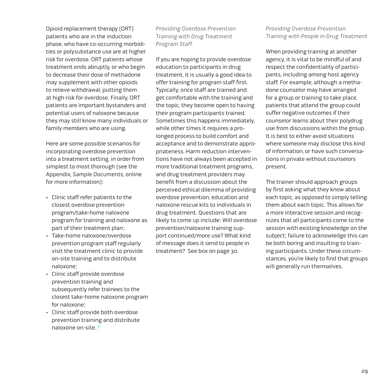Opioid replacement therapy (ORT) patients who are in the induction phase, who have co-occurring morbidities or polysubstance use are at higher risk for overdose. ORT patients whose treatment ends abruptly, or who begin to decrease their dose of methadone may supplement with other opioids to relieve withdrawal, putting them at high risk for overdose. Finally, ORT patients are important bystanders and potential users of naloxone because they may still know many individuals or family members who are using.

Here are some possible scenarios for incorporating overdose prevention into a treatment setting, in order from simplest to most thorough (see the [Appendix,](http://harmreduction.org/issues/overdose-prevention/tools-best-practices/manuals-best-practice/od-manual-appendix/) Sample Documents, online for more information):

- • Clinic staff refer patients to the closest overdose prevention program/take-home naloxone program for training and naloxone as part of their treatment plan;
- • Take-home naloxone/overdose prevention program staff regularly visit the treatment clinic to provide on-site training and to distribute naloxone;
- • Clinic staff provide overdose prevention training and subsequently refer trainees to the closest take-home naloxone program for naloxone;
- • Clinic staff provide both overdose prevention training and distribute naloxone on-site. 7

Providing Overdose Prevention Training with Drug Treatment Program Staff

If you are hoping to provide overdose education to participants in drug treatment, it is usually a good idea to offer training for program staff first. Typically, once staff are trained and get comfortable with the training and the topic, they become open to having their program participants trained. Sometimes this happens immediately, while other times it requires a prolonged process to build comfort and acceptance and to demonstrate appropriateness. Harm reduction interventions have not always been accepted in more traditional treatment programs, and drug treatment providers may benefit from a discussion about the perceived ethical dilemma of providing overdose prevention, education and naloxone rescue kits to individuals in drug treatment. Questions that are likely to come up include: Will overdose prevention/naloxone training support continued/more use? What kind of message does it send to people in treatment? See box on page 30.

Providing Overdose Prevention Training with People in Drug Treatment

When providing training at another agency, it is vital to be mindful of and respect the confidentiality of participants, including among host agency staff. For example, although a methadone counselor may have arranged for a group or training to take place, patients that attend the group could suffer negative outcomes if their counselor learns about their polydrug use from discussions within the group. It is best to either avoid situations where someone may disclose this kind of information, or have such conversations in private without counselors present.

The trainer should approach groups by first asking what they know about each topic, as opposed to simply telling them about each topic. This allows for a more interactive session and recognizes that all participants come to the session with existing knowledge on the subject; failure to acknowledge this can be both boring and insulting to training participants. Under these circumstances, you're likely to find that groups will generally run themselves.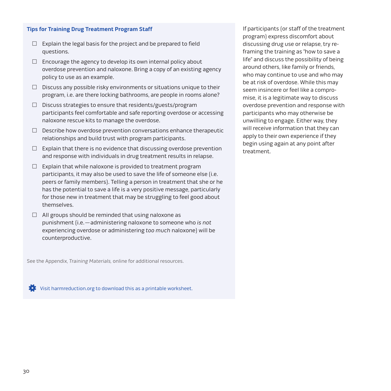#### **Tips for Training Drug Treatment Program Staff**

- $\Box$  Explain the legal basis for the project and be prepared to field questions.
- $\Box$  Encourage the agency to develop its own internal policy about overdose prevention and naloxone. Bring a copy of an existing agency policy to use as an example.
- $\Box$  Discuss any possible risky environments or situations unique to their program, i.e. are there locking bathrooms, are people in rooms alone?
- $\Box$  Discuss strategies to ensure that residents/guests/program participants feel comfortable and safe reporting overdose or accessing naloxone rescue kits to manage the overdose.
- $\Box$  Describe how overdose prevention conversations enhance therapeutic relationships and build trust with program participants.
- $\Box$  Explain that there is no evidence that discussing overdose prevention and response with individuals in drug treatment results in relapse.
- $\Box$  Explain that while naloxone is provided to treatment program participants, it may also be used to save the life of someone else (i.e. peers or family members). Telling a person in treatment that she or he has the potential to save a life is a very positive message, particularly for those new in treatment that may be struggling to feel good about themselves.
- $\Box$  All groups should be reminded that using naloxone as punishment (i.e.—administering naloxone to someone who is not experiencing overdose or administering too much naloxone) will be counterproductive.

See th[e Appendix,](http://harmreduction.org/issues/overdose-prevention/tools-best-practices/manuals-best-practice/od-manual-appendix/) Training Materials, online for additional resources.

[Visit harmreduction.org to download this as a printable worksheet.](http://harmreduction.org/wp-content/uploads/2012/11/HRC_ODprevention_worksheet4.pdf)

If participants (or staff of the treatment program) express discomfort about discussing drug use or relapse, try reframing the training as "how to save a life" and discuss the possibility of being around others, like family or friends, who may continue to use and who may be at risk of overdose. While this may seem insincere or feel like a compromise, it is a legitimate way to discuss overdose prevention and response with participants who may otherwise be unwilling to engage. Either way, they will receive information that they can apply to their own experience if they begin using again at any point after treatment.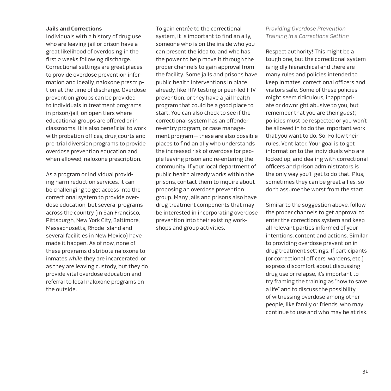#### **Jails and Corrections**

Individuals with a history of drug use who are leaving jail or prison have a great likelihood of overdosing in the first 2 weeks following discharge. Correctional settings are great places to provide overdose prevention information and ideally, naloxone prescription at the time of discharge. Overdose prevention groups can be provided to individuals in treatment programs in prison/jail, on open tiers where educational groups are offered or in classrooms. It is also beneficial to work with probation offices, drug courts and pre-trial diversion programs to provide overdose prevention education and when allowed, naloxone prescription.

As a program or individual providing harm reduction services, it can be challenging to get access into the correctional system to provide overdose education, but several programs across the country (in San Francisco, Pittsburgh, New York City, Baltimore, Massachusetts, Rhode Island and several facilities in New Mexico) have made it happen. As of now, none of these programs distribute naloxone to inmates while they are incarcerated, or as they are leaving custody, but they do provide vital overdose education and referral to local naloxone programs on the outside.

To gain entrée to the correctional system, it is important to find an ally, someone who is on the inside who you can present the idea to, and who has the power to help move it through the proper channels to gain approval from the facility. Some jails and prisons have public health interventions in place already, like HIV testing or peer-led HIV prevention, or they have a jail health program that could be a good place to start. You can also check to see if the correctional system has an offender re-entry program, or case management program—these are also possible places to find an ally who understands the increased risk of overdose for people leaving prison and re-entering the community. If your local department of public health already works within the prisons, contact them to inquire about proposing an overdose prevention group. Many jails and prisons also have drug treatment components that may be interested in incorporating overdose prevention into their existing workshops and group activities.

### Providing Overdose Prevention Training in a Corrections Setting

Respect authority! This might be a tough one, but the correctional system is rigidly hierarchical and there are many rules and policies intended to keep inmates, correctional officers and visitors safe. Some of these policies might seem ridiculous, inappropriate or downright abusive to you, but remember that you are their guest; policies must be respected or you won't be allowed in to do the important work that you want to do. So: Follow their rules. Vent later. Your goal is to get information to the individuals who are locked up, and dealing with correctional officers and prison administrators is the only way you'll get to do that. Plus, sometimes they can be great allies, so don't assume the worst from the start.

Similar to the suggestion above, follow the proper channels to get approval to enter the corrections system and keep all relevant parties informed of your intentions, content and actions. Similar to providing overdose prevention in drug treatment settings, If participants (or correctional officers, wardens, etc.) express discomfort about discussing drug use or relapse, it's important to try framing the training as "how to save a life" and to discuss the possibility of witnessing overdose among other people, like family or friends, who may continue to use and who may be at risk.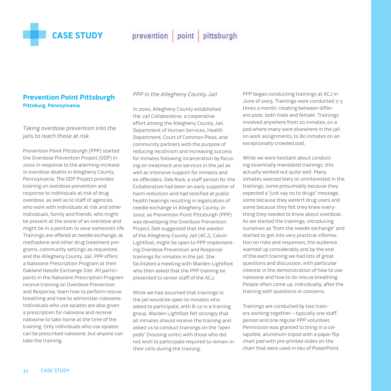<span id="page-31-0"></span>

prevention point pittsburgh

# **Prevention Point Pittsburgh Pittsburg, Pennsylvania**

Taking overdose prevention into the jails to reach those at risk.

Prevention Point Pittsburgh (PPP) started the Overdose Prevention Project (ODP) in 2002 in response to the alarming increase in overdose deaths in Allegheny County, Pennsylvania. The ODP Project provides training on overdose prevention and response to individuals at risk of drug overdose, as well as to staff of agencies who work with individuals at risk and other individuals, family and friends, who might be present at the scene of an overdose and might be in a position to save someone's life. Trainings are offered at needle exchange, at methadone and other drug treatment programs, community settings as requested, and the Allegheny County Jail. PPP offers a Naloxone Prescription Program at their Oakland Needle Exchange Site. All participants in the Naloxone Prescription Program receive training on Overdose Prevention and Response, learn how to perform rescue breathing and how to administer naloxone. Individuals who use opiates are also given a prescription for naloxone and receive naloxone to take home at the time of the training. Only individuals who use opiates can be prescribed naloxone, but anyone can take the training.

PPP in the Allegheny County Jail

In 2000, Allegheny County established the Jail Collaborative, a cooperative effort among the Allegheny County Jail, Department of Human Services, Health Department, Court of Common Pleas, and community partners with the purpose of reducing recidivism and increasing success for inmates following incarceration by focusing on treatment and services in the jail as well as intensive support for inmates and ex-offenders. Deb Rock, a staff person for the Collaborative had been an early supporter of harm reduction and had testified at public health hearings resulting in legalization of needle exchange in Allegheny County. In 2002, as Prevention Point Pittsburgh (PPP) was developing the Overdose Prevention Project, Deb suggested that the warden of the Allegheny County Jail (ACJ), Calvin Lightfoot, might be open to PPP implementing Overdose Prevention and Response trainings for inmates in the jail. She facilitated a meeting with Warden Lightfoot who then asked that the PPP training be presented to senior staff of the ACJ.

While we had assumed that trainings in the jail would be open to inmates who asked to participate, with 8-12 in a training group, Warden Lightfoot felt strongly that all inmates should receive the training and asked us to conduct trainings on the "open pods" (housing units) with those who did not wish to participate required to remain in their cells during the training.

PPP began conducting trainings at ACJ in June of 2003. Trainings were conducted 2-3 times a month, rotating between different pods, both male and female. Trainings involved anywhere from 20 inmates, on a pod where many were elsewhere in the jail on work assignments, to 80 inmates on an exceptionally crowded pod.

While we were hesitant about conducting essentially mandated trainings, this actually worked out quite well. Many inmates seemed leery or uninterested in the trainings, some presumably because they expected a "just say no to drugs" message, some because they weren't drug users and some because they felt they knew everything they needed to know about overdose. As we started the trainings, introducing ourselves as "from the needle exchange" and started to get into very practical information on risks and responses, the audience warmed up considerably and by the end of the each training we had lots of great questions and discussion, with particular interest in the demonstration of how to use naloxone and how to do rescue breathing. People often come up, individually, after the training with questions or concerns.

Trainings are conducted by two trainers working together—typically one staff person and one regular PPP volunteer. Permission was granted to bring in a collapsible, aluminum tripod with a paper flip chart pad with pre-printed slides on the chart that were used in lieu of PowerPoint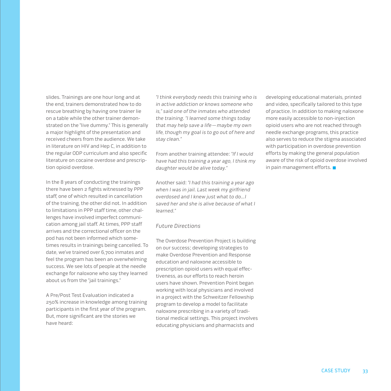slides. Trainings are one hour long and at the end, trainers demonstrated how to do rescue breathing by having one trainer lie on a table while the other trainer demonstrated on the "live dummy." This is generally a major highlight of the presentation and received cheers from the audience. We take in literature on HIV and Hep C, in addition to the regular ODP curriculum and also specific literature on cocaine overdose and prescription opioid overdose.

In the 8 years of conducting the trainings there have been 2 fights witnessed by PPP staff, one of which resulted in cancellation of the training, the other did not. In addition to limitations in PPP staff time, other challenges have involved imperfect communication among jail staff. At times, PPP staff arrives and the correctional officer on the pod has not been informed which sometimes results in trainings being cancelled. To date, we've trained over 6,700 inmates and feel the program has been an overwhelming success. We see lots of people at the needle exchange for naloxone who say they learned about us from the "jail trainings."

A Pre/Post Test Evaluation indicated a 250% increase in knowledge among training participants in the first year of the program. But, more significant are the stories we have heard:

"I think everybody needs this training who is in active addiction or knows someone who is," said one of the inmates who attended the training. "I learned some things today that may help save a life—maybe my own life, though my goal is to go out of here and stay clean."

From another training attendee: "If I would have had this training a year ago, I think my daughter would be alive today."

Another said: "I had this training a year ago when I was in jail. Last week my girlfriend overdosed and I knew just what to do…I saved her and she is alive because of what I learned."

#### Future Directions

The Overdose Prevention Project is building on our success; developing strategies to make Overdose Prevention and Response education and naloxone accessible to prescription opioid users with equal effectiveness, as our efforts to reach heroin users have shown. Prevention Point began working with local physicians and involved in a project with the Schweitzer Fellowship program to develop a model to facilitate naloxone prescribing in a variety of traditional medical settings. This project involves educating physicians and pharmacists and

developing educational materials, printed and video, specifically tailored to this type of practice. In addition to making naloxone more easily accessible to non-injection opioid users who are not reached through needle exchange programs, this practice also serves to reduce the stigma associated with participation in overdose prevention efforts by making the general population aware of the risk of opioid overdose involved in pain management efforts.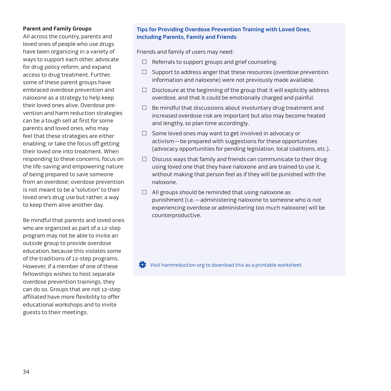#### **Parent and Family Groups**

All across the country, parents and loved ones of people who use drugs have been organizing in a variety of ways to support each other, advocate for drug policy reform, and expand access to drug treatment. Further, some of these parent groups have embraced overdose prevention and naloxone as a strategy to help keep their loved ones alive. Overdose prevention and harm reduction strategies can be a tough sell at first for some parents and loved ones, who may feel that these strategies are either enabling, or take the focus off getting their loved one into treatment. When responding to these concerns, focus on the life-saving and empowering nature of being prepared to save someone from an overdose; overdose prevention is not meant to be a "solution" to their loved one's drug use but rather, a way to keep them alive another day.

Be mindful that parents and loved ones who are organized as part of a 12-step program may not be able to invite an outside group to provide overdose education, because this violates some of the traditions of 12-step programs. However, if a member of one of these fellowships wishes to host separate overdose prevention trainings, they can do so. Groups that are not 12-step affiliated have more flexibility to offer educational workshops and to invite guests to their meetings.

### **Tips for Providing Overdose Prevention Training with Loved Ones, including Parents, Family and Friends**

Friends and family of users may need:

- $\Box$  Referrals to support groups and grief counseling.
- $\Box$  Support to address anger that these resources (overdose prevention information and naloxone) were not previously made available.
- $\Box$  Disclosure at the beginning of the group that it will explicitly address overdose, and that it could be emotionally charged and painful.
- $\Box$  Be mindful that discussions about involuntary drug treatment and increased overdose risk are important but also may become heated and lengthy, so plan time accordingly.
- $\Box$  Some loved ones may want to get involved in advocacy or activism—be prepared with suggestions for these opportunities (advocacy opportunities for pending legislation, local coalitions, etc.).
- $\Box$  Discuss ways that family and friends can communicate to their drug using loved one that they have naloxone and are trained to use it, without making that person feel as if they will be punished with the naloxone.
- $\Box$  All groups should be reminded that using naloxone as punishment (i.e.—administering naloxone to someone who is not experiencing overdose or administering too much naloxone) will be counterproductive.

[Visit harmreduction.org to download this as a printable worksheet.](http://harmreduction.org/wp-content/uploads/2012/11/HRC_ODprevention_worksheet4.pdf)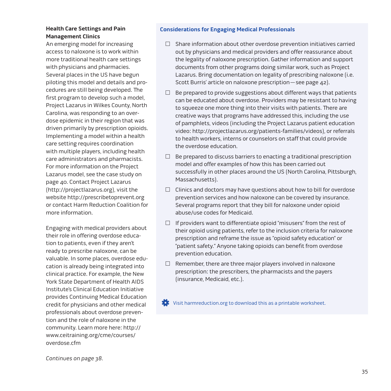## **Health Care Settings and Pain Management Clinics**

An emerging model for increasing access to naloxone is to work within more traditional health care settings with physicians and pharmacies. Several places in the US have begun piloting this model and details and procedures are still being developed. The first program to develop such a model, Project Lazarus in Wilkes County, North Carolina, was responding to an overdose epidemic in their region that was driven primarily by prescription opioids. Implementing a model within a health care setting requires coordination with multiple players, including health care administrators and pharmacists. For more information on the Project Lazarus model, see th[e case study o](#page-39-0)n page 40. Contact Project Lazarus (http://projectlazarus.org), visit the website http://prescribetoprevent.org or contact Harm Reduction Coalition for more information.

Engaging with medical providers about their role in offering overdose education to patients, even if they aren't ready to prescribe naloxone, can be valuable. In some places, overdose education is already being integrated into clinical practice. For example, the New York State Department of Health AIDS Institute's Clinical Education Initiative provides Continuing Medical Education credit for physicians and other medical professionals about overdose prevention and the role of naloxone in the [community. Learn more here: http://](http://www.ceitraining.org/cme/courses/overdose.cfm) www.ceitraining.org/cme/courses/ overdose.cfm

#### **Considerations for Engaging Medical Professionals**

- $\Box$  Share information about other overdose prevention initiatives carried out by physicians and medical providers and offer reassurance about the legality of naloxone prescription. Gather information and support documents from other programs doing similar work, such as Project Lazarus. Bring documentation on legality of prescribing naloxone (i.e. Scott Burris' article on naloxone prescription—[see page 42\)](#page-41-0).
- $\Box$  Be prepared to provide suggestions about different ways that patients can be educated about overdose. Providers may be resistant to having to squeeze one more thing into their visits with patients. There are creative ways that programs have addressed this, including the use of pamphlets, videos (including the Project Lazarus patient education video: http://projectlazarus.org/patients-families/videos), or referrals to health workers, interns or counselors on staff that could provide the overdose education.
- $\Box$  Be prepared to discuss barriers to enacting a traditional prescription model and offer examples of how this has been carried out successfully in other places around the US (North Carolina, Pittsburgh, Massachusetts).
- $\Box$  Clinics and doctors may have questions about how to bill for overdose prevention services and how naloxone can be covered by insurance. Several programs report that they bill for naloxone under opioid abuse/use codes for Medicaid.
- $\Box$  If providers want to differentiate opioid "misusers" from the rest of their opioid using patients, refer to the inclusion criteria for naloxone prescription and reframe the issue as "opioid safety education" or "patient safety." Anyone taking opioids can benefit from overdose prevention education.
- $\Box$  Remember, there are three major players involved in naloxone prescription: the prescribers, the pharmacists and the payers (insurance, Medicaid, etc.).

[Visit harmreduction.org to download this as a printable worksheet.](http://harmreduction.org/wp-content/uploads/2012/11/HRC_ODprevention_worksheet5.pdf)

Continues on page 38.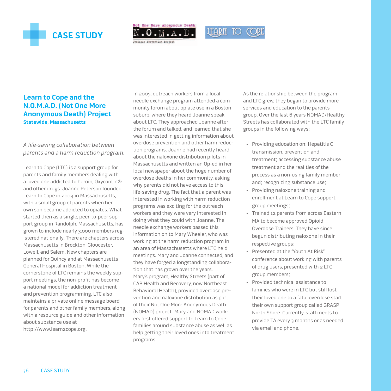<span id="page-35-0"></span>

Not One More Anonymous Death



Overdose Prevention Project

# **Learn to Cope and the N.O.M.A.D. (Not One More Anonymous Death) Project Statewide, Massachusetts**

A life-saving collaboration between parents and a harm reduction program.

Learn to Cope (LTC) is a support group for parents and family members dealing with a loved one addicted to heroin, Oxycontin® and other drugs. Joanne Peterson founded Learn to Cope in 2004 in Massachusetts, with a small group of parents when her own son became addicted to opiates. What started then as a single, peer-to-peer support group in Randolph, Massachusetts, has grown to include nearly 3,000 members registered nationally. There are chapters across Massachusetts in Brockton, Gloucester, Lowell, and Salem. New chapters are planned for Quincy and at Massachusetts General Hospital in Boston. While the cornerstone of LTC remains the weekly support meetings, the non-profit has become a national model for addiction treatment and prevention programming. LTC also maintains a private online message board for parents and other family members, along with a resource guide and other information about substance use at http://www.learn2cope.org.

In 2005, outreach workers from a local needle exchange program attended a community forum about opiate use in a Boston suburb, where they heard Joanne speak about LTC. They approached Joanne after the forum and talked, and learned that she was interested in getting information about overdose prevention and other harm reduction programs. Joanne had recently heard about the naloxone distribution pilots in Massachusetts and written an Op-ed in her local newspaper about the huge number of overdose deaths in her community, asking why parents did not have access to this life-saving drug. The fact that a parent was interested in working with harm reduction programs was exciting for the outreach workers and they were very interested in doing what they could with Joanne. The needle exchange workers passed this information on to Mary Wheeler, who was working at the harm reduction program in an area of Massachusetts where LTC held meetings. Mary and Joanne connected, and they have forged a longstanding collaboration that has grown over the years. Mary's program, Healthy Streets (part of CAB Health and Recovery, now Northeast Behavioral Health), provided overdose prevention and naloxone distribution as part of their Not One More Anonymous Death (NOMAD) project. Mary and NOMAD workers first offered support to Learn to Cope families around substance abuse as well as help getting their loved ones into treatment programs.

As the relationship between the program and LTC grew, they began to provide more services and education to the parents' group. Over the last 6 years NOMAD/Healthy Streets has collaborated with the LTC family groups in the following ways:

- • Providing education on: Hepatitis C transmission, prevention and treatment; accessing substance abuse treatment and the realities of the process as a non-using family member and; recognizing substance use;
- • Providing naloxone training and enrollment at Learn to Cope support group meetings;
- • Trained 12 parents from across Eastern MA to become approved Opioid Overdose Trainers. They have since begun distributing naloxone in their respective groups;
- • Presented at the "Youth At Risk" conference about working with parents of drug users, presented with 2 LTC group members;
- • Provided technical assistance to families who were in LTC but still lost their loved one to a fatal overdose start their own support group called GRASP North Shore. Currently, staff meets to provide TA every 3 months or as needed via email and phone.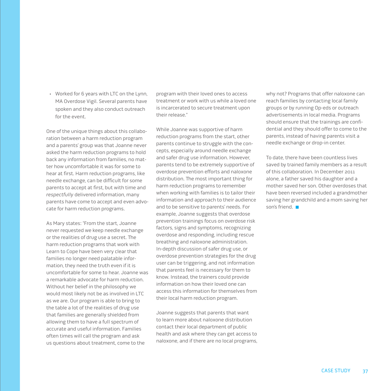• Worked for 6 years with LTC on the Lynn, MA Overdose Vigil. Several parents have spoken and they also conduct outreach for the event.

One of the unique things about this collaboration between a harm reduction program and a parents' group was that Joanne never asked the harm reduction programs to hold back any information from families, no matter how uncomfortable it was for some to hear at first. Harm reduction programs, like needle exchange, can be difficult for some parents to accept at first, but with time and respectfully delivered information, many parents have come to accept and even advocate for harm reduction programs.

As Mary states: "From the start, Joanne never requested we keep needle exchange or the realities of drug use a secret. The harm reduction programs that work with Learn to Cope have been very clear that families no longer need palatable information, they need the truth even if it is uncomfortable for some to hear. Joanne was a remarkable advocate for harm reduction. Without her belief in the philosophy we would most likely not be as involved in LTC as we are. Our program is able to bring to the table a lot of the realities of drug use that families are generally shielded from allowing them to have a full spectrum of accurate and useful information. Families often times will call the program and ask us questions about treatment, come to the

program with their loved ones to access treatment or work with us while a loved one is incarcerated to secure treatment upon their release."

While Joanne was supportive of harm reduction programs from the start, other parents continue to struggle with the concepts, especially around needle exchange and safer drug use information. However, parents tend to be extremely supportive of overdose prevention efforts and naloxone distribution. The most important thing for harm reduction programs to remember when working with families is to tailor their information and approach to their audience and to be sensitive to parents' needs. For example, Joanne suggests that overdose prevention trainings focus on overdose risk factors, signs and symptoms, recognizing overdose and responding, including rescue breathing and naloxone administration. In-depth discussion of safer drug use, or overdose prevention strategies for the drug user can be triggering, and not information that parents feel is necessary for them to know. Instead, the trainers could provide information on how their loved one can access this information for themselves from their local harm reduction program.

Joanne suggests that parents that want to learn more about naloxone distribution contact their local department of public health and ask where they can get access to naloxone, and if there are no local programs, why not? Programs that offer naloxone can reach families by contacting local family groups or by running Op-eds or outreach advertisements in local media. Programs should ensure that the trainings are confidential and they should offer to come to the parents, instead of having parents visit a needle exchange or drop-in center.

To date, there have been countless lives saved by trained family members as a result of this collaboration. In December 2011 alone, a father saved his daughter and a mother saved her son. Other overdoses that have been reversed included a grandmother saving her grandchild and a mom saving her son's friend.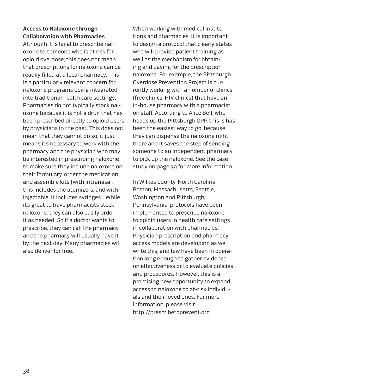## **Access to Naloxone through Collaboration with Pharmacies**

Although it is legal to prescribe naloxone to someone who is at risk for opioid overdose, this does not mean that prescriptions for naloxone can be readily filled at a local pharmacy. This is a particularly relevant concern for naloxone programs being integrated into traditional health care settings. Pharmacies do not typically stock naloxone because it is not a drug that has been prescribed directly to opioid users by physicians in the past. This does not mean that they cannot do so, it just means it's necessary to work with the pharmacy and the physician who may be interested in prescribing naloxone to make sure they include naloxone on their formulary, order the medication and assemble kits (with intranasal, this includes the atomizers, and with injectable, it includes syringes). While it's great to have pharmacists stock naloxone, they can also easily order it as needed. So if a doctor wants to prescribe, they can call the pharmacy and the pharmacy will usually have it by the next day. Many pharmacies will also deliver for free.

When working with medical institutions and pharmacies, it is important to design a protocol that clearly states who will provide patient training as well as the mechanism for obtaining and paying for the prescription naloxone. For example, the Pittsburgh Overdose Prevention Project is currently working with a number of clinics (free clinics, HIV clinics) that have an in-house pharmacy with a pharmacist on staff. According to Alice Bell, who heads up the Pittsburgh OPP, this is has been the easiest way to go, because they can dispense the naloxone right there and it saves the step of sending someone to an independent pharmacy to pick up the naloxone. See the case study on page 39 for more information.

In Wilkes County, North Carolina, Boston, Massachusetts, Seattle, Washington and Pittsburgh, Pennsylvania, protocols have been implemented to prescribe naloxone to opioid users in health care settings in collaboration with pharmacies. Physician prescription and pharmacy access models are developing as we write this, and few have been in operation long enough to gather evidence on effectiveness or to evaluate policies and procedures. However, this is a promising new opportunity to expand access to naloxone to at-risk individuals and their loved ones. For more information, please visit http://prescribetoprevent.org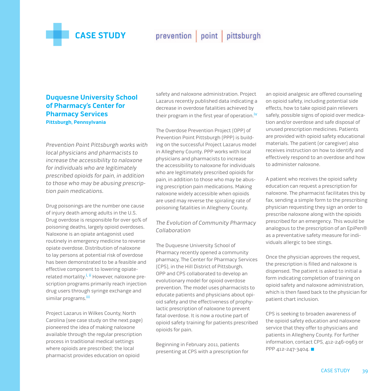

## prevention point pittsburgh

## **Duquesne University School of Pharmacy's Center for Pharmacy Services Pittsburgh, Pennsylvania**

Prevention Point Pittsburgh works with local physicians and pharmacists to increase the accessibility to naloxone for individuals who are legitimately prescribed opioids for pain, in addition to those who may be abusing prescription pain medications.

Drug poisonings are the number one cause of injury death among adults in the U.S. Drug overdose is responsible for over 90% of poisoning deaths, largely opioid overdoses. Naloxone is an opiate antagonist used routinely in emergency medicine to reverse opiate overdose. Distribution of naloxone to lay persons at potential risk of overdose has been demonstrated to be a feasible and effective component to lowering opiaterelated mortality.<sup>i, ii</sup> However, naloxone prescription programs primarily reach injection drug users through syringe exchange and similar programs.<sup>iii</sup>

Project Lazarus in Wilkes County, North Carolina (see case study on the next page) pioneered the idea of making naloxone available through the regular prescription process in traditional medical settings where opioids are prescribed; the local pharmacist provides education on opioid

safety and naloxone administration. Project Lazarus recently published data indicating a decrease in overdose fatalities achieved by their program in the first year of operation.<sup>iv</sup>

The Overdose Prevention Project (OPP) of Prevention Point Pittsburgh (PPP) is building on the successful Project Lazarus model in Allegheny County. PPP works with local physicians and pharmacists to increase the accessibility to naloxone for individuals who are legitimately prescribed opioids for pain, in addition to those who may be abusing prescription pain medications. Making naloxone widely accessible when opioids are used may reverse the spiraling rate of poisoning fatalities in Allegheny County.

### The Evolution of Community Pharmacy Collaboration

The Duquesne University School of Pharmacy recently opened a community pharmacy, The Center for Pharmacy Services (CPS), in the Hill District of Pittsburgh. OPP and CPS collaborated to develop an evolutionary model for opioid overdose prevention. The model uses pharmacists to educate patients and physicians about opioid safety and the effectiveness of prophylactic prescription of naloxone to prevent fatal overdose. It is now a routine part of opioid safety training for patients prescribed opioids for pain.

Beginning in February 2011, patients presenting at CPS with a prescription for

an opioid analgesic are offered counseling on opioid safety, including potential side effects, how to take opioid pain relievers safely, possible signs of opioid over medication and/or overdose and safe disposal of unused prescription medicines. Patients are provided with opioid safety educational materials. The patient (or caregiver) also receives instruction on how to identify and effectively respond to an overdose and how to administer naloxone.

A patient who receives the opioid safety education can request a prescription for naloxone. The pharmacist facilitates this by fax, sending a simple form to the prescribing physician requesting they sign an order to prescribe naloxone along with the opioids prescribed for an emergency. This would be analogous to the prescription of an EpiPen® as a preventative safety measure for individuals allergic to bee stings.

Once the physician approves the request, the prescription is filled and naloxone is dispensed. The patient is asked to initial a form indicating completion of training on opioid safety and naloxone administration, which is then faxed back to the physician for patient chart inclusion.

CPS is seeking to broaden awareness of the opioid safety education and naloxone service that they offer to physicians and patients in Allegheny County. For further information, contact CPS, 412-246-0963 or PPP 412-247-3404.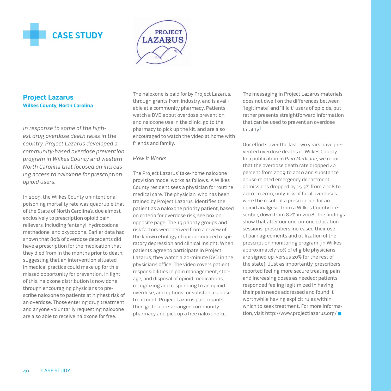



## **Project Lazarus Wilkes County, North Carolina**

In response to some of the highest drug overdose death rates in the country, Project Lazarus developed a community-based overdose prevention program in Wilkes County and western North Carolina that focused on increasing access to naloxone for prescription opioid users.

In 2009, the Wilkes County unintentional poisoning mortality rate was quadruple that of the State of North Carolina's, due almost exclusively to prescription opioid pain relievers, including fentanyl, hydrocodone, methadone, and oxycodone. Earlier data had shown that 80% of overdose decedents did have a prescription for the medication that they died from in the months prior to death, suggesting that an intervention situated in medical practice could make up for this missed opportunity for prevention. In light of this, naloxone distribution is now done through encouraging physicians to prescribe naloxone to patients at highest risk of an overdose. Those entering drug treatment and anyone voluntarily requesting naloxone are also able to receive naloxone for free.

The naloxone is paid for by Project Lazarus, through grants from industry, and is available at a community pharmacy. Patients watch a DVD about overdose prevention and naloxone use in the clinic, go to the pharmacy to pick up the kit, and are also encouraged to watch the video at home with friends and family.

#### How it Works

The Project Lazarus' take-home naloxone provision model works as follows. A Wilkes County resident sees a physician for routine medical care. The physician, who has been trained by Project Lazarus, identifies the patient as a naloxone priority patient, based on criteria for overdose risk, see box on opposite page. The 15 priority groups and risk factors were derived from a review of the known etiology of opioid-induced respiratory depression and clinical insight. When patients agree to participate in Project Lazarus, they watch a 20-minute DVD in the physician's office. The video covers patient responsibilities in pain management, storage, and disposal of opioid medications, recognizing and responding to an opioid overdose, and options for substance abuse treatment. Project Lazarus participants then go to a pre-arranged community pharmacy and pick up a free naloxone kit.

The messaging in Project Lazarus materials does not dwell on the differences between "legitimate" and "illicit" users of opioids, but rather presents straightforward information that can be used to prevent an overdose fatality.<sup>i</sup>

Our efforts over the last two years have prevented overdose deaths in Wilkes County. In a publication in Pain Medicine, we report that the overdose death rate dropped 42 percent from 2009 to 2010 and substance abuse related emergency department admissions dropped by 15.3% from 2008 to 2010. In 2010, only 10% of fatal overdoses were the result of a prescription for an opioid analgesic from a Wilkes County prescriber, down from 82% in 2008. The findings show that after our one-on-one education sessions, prescribers increased their use of pain agreements and utilization of the prescription monitoring program (in Wilkes, approximately 70% of eligible physicians are signed up, versus 20% for the rest of the state). Just as importantly, prescribers reported feeling more secure treating pain and increasing doses as needed; patients responded feeling legitimized in having their pain needs addressed and found it worthwhile having explicit rules within which to seek treatment. For more information, visit http://www.projectlazarus.org/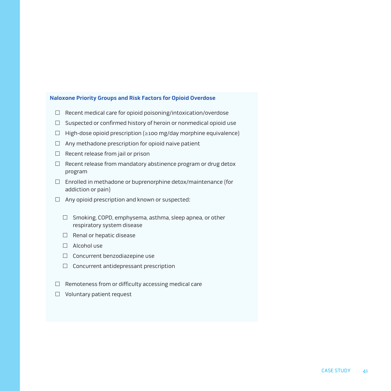#### **Naloxone Priority Groups and Risk Factors for Opioid Overdose**

- $\Box$  Recent medical care for opioid poisoning/intoxication/overdose
- $\Box$  Suspected or confirmed history of heroin or nonmedical opioid use
- High-dose opioid prescription (≥100 mg/day morphine equivalence)
- $\Box$  Any methadone prescription for opioid naive patient
- $\Box$  Recent release from jail or prison
- $\Box$  Recent release from mandatory abstinence program or drug detox program
- $\Box$  Enrolled in methadone or buprenorphine detox/maintenance (for addiction or pain)
- $\Box$  Any opioid prescription and known or suspected:
	- □ Smoking, COPD, emphysema, asthma, sleep apnea, or other respiratory system disease
	- $\Box$  Renal or hepatic disease
	- □ Alcohol use
	- $\Box$  Concurrent benzodiazepine use
	- $\Box$  Concurrent antidepressant prescription
- $\Box$  Remoteness from or difficulty accessing medical care
- □ Voluntary patient request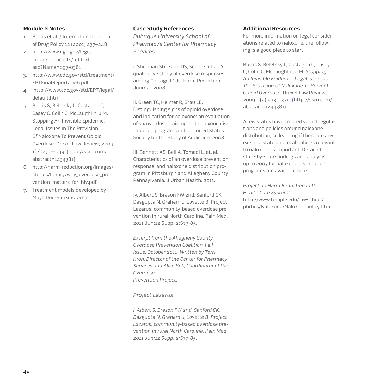#### **Module 3 Notes**

- 1. Burris et al. / International Journal of Drug Policy 12 (2001) 237–248
- 2. [http://www.ilga.gov/legis](http://www.ilga.gov/legislation/publicacts/fulltext.asp?Name=097-0361)lation/publicacts/fulltext. asp?Name=097-0361
- 3. [http://www.cdc.gov/std/treatment/](http://www.cdc.gov/std/treatment/EPTFinalReport2006.pdf) EPTFinalReport2006.pdf
- 4. [http://www.cdc.gov/std/EPT/legal/](http://www.cdc.gov/std/EPT/legal/default.htm) default.htm
- 5. Burris S, Beletsky L, Castagna C, Casey C, Colin C, McLaughlin, J.M. Stopping An Invisible Epidemic: Legal Issues In The Provision Of Naloxone To Prevent Opioid Overdose. Drexel Law Review; 2009: 1(2):273—339. (http://ssrn.com/ abstract=1434381)
- 6. [http://harm-reduction.org/images/](http://harm-reduction.org/images/stories/library/why_overdose_prevention_matters_for_hiv.pdf) stories/library/why\_overdose\_prevention\_matters\_for\_hiv.pdf
- 7. Treatment models developed by Maya Doe-Simkins, 2011

#### **Case Study References**

Dubuque University School of Pharmacy's Center for Pharmacy Services

i. Sherman SG, Gann DS, Scott G, et al. A qualitative study of overdose responses among Chicago IDUs. Harm Reduction Journal. 2008.

ii. Green TC, Heimer R, Grau LE. Distinguishing signs of opioid overdose and indication for naloxone: an evaluation of six overdose training and naloxone distribution programs in the United States. Society for the Study of Addiction. 2008.

iii. Bennett AS, Bell A, Tomedi L, et. al. Characteristics of an overdose prevention, response, and naloxone distribution program in Pittsburgh and Allegheny County Pennsylvania. J Urban Health. 2011.

iv. Albert S, Brason FW 2nd, Sanford CK, Dasgupta N, Graham J, Lovette B. Project Lazarus: community-based overdose prevention in rural North Carolina. Pain Med. 2011 Jun;12 Suppl 2:S77-85.

Excerpt from the Allegheny County Overdose Prevention Coalition, Fall Issue, October 2011; Written by Terri Kroh, Director of the Center for Pharmacy Services and Alice Bell, Coordinator of the Overdose Prevention Project.

#### Project Lazarus

i. Albert S, Brason FW 2nd, Sanford CK, Dasgupta N, Graham J, Lovette B. Project Lazarus: community-based overdose prevention in rural North Carolina. Pain Med. 2011 Jun;12 Suppl 2:S77-85.

#### **Additional Resources**

For more information on legal considerations related to naloxone, the following is a good place to start:

Burris S, Beletsky L, Castagna C, Casey C, Colin C, McLaughlin, J.M. Stopping An Invisible Epidemic: Legal Issues In The Provision Of Naloxone To Prevent Opioid Overdose. Drexel Law Review; 2009: 1(2):273—339. (http://ssrn.com/ abstract=1434381)

A few states have created varied regulations and policies around naloxone distribution, so learning if there are any existing state and local policies relevant to naloxone is important. Detailed state-by-state findings and analysis up to 2007 for naloxone distribution programs are available here:

Project on Harm Reduction in the Health Care System: http://www.temple.edu/lawschool/ [phrhcs/Naloxone/Naloxonepolicy.htm](http://www.temple.edu/lawschool/phrhcs/Naloxone/Naloxonepolicy.htm)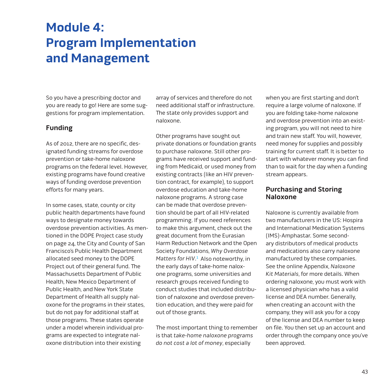# **Module 4: Program Implementation and Management**

So you have a prescribing doctor and you are ready to go! Here are some suggestions for program implementation.

## **Funding**

As of 2012, there are no specific, designated funding streams for overdose prevention or take-home naloxone programs on the federal level. However, existing programs have found creative ways of funding overdose prevention efforts for many years.

In some cases, state, county or city public health departments have found ways to designate money towards overdose prevention activities. As mentioned in the DOPE Project case study on page 24, the City and County of San Francisco's Public Health Department allocated seed money to the DOPE Project out of their general fund. The Massachusetts Department of Public Health, New Mexico Department of Public Health, and New York State Department of Health all supply naloxone for the programs in their states, but do not pay for additional staff at those programs. These states operate under a model wherein individual programs are expected to integrate naloxone distribution into their existing

array of services and therefore do not need additional staff or infrastructure. The state only provides support and naloxone.

Other programs have sought out private donations or foundation grants to purchase naloxone. Still other programs have received support and funding from Medicaid, or used money from existing contracts (like an HIV prevention contract, for example), to support overdose education and take-home naloxone programs. A strong case can be made that overdose prevention should be part of all HIV-related programming. If you need references to make this argument, check out the great document from the Eurasian Harm Reduction Network and the Open Society Foundations, Why Overdose Matters for HIV.<sup>1</sup> Also noteworthy, in the early days of take-home naloxone programs, some universities and research groups received funding to conduct studies that included distribution of naloxone and overdose prevention education, and they were paid for out of those grants.

The most important thing to remember is that take-home naloxone programs do not cost a lot of money, especially

when you are first starting and don't require a large volume of naloxone. If you are folding take-home naloxone and overdose prevention into an existing program, you will not need to hire and train new staff. You will, however, need money for supplies and possibly training for current staff. It is better to start with whatever money you can find than to wait for the day when a funding stream appears.

## **Purchasing and Storing Naloxone**

Naloxone is currently available from two manufacturers in the US: Hospira and International Medication Systems (IMS)-Amphastar. Some secondary distributors of medical products and medications also carry naloxone manufactured by these companies. See the onlin[e Appendix,](http://harmreduction.org/issues/overdose-prevention/tools-best-practices/manuals-best-practice/od-manual-appendix/) Naloxone Kit Materials, for more details. When ordering naloxone, you must work with a licensed physician who has a valid license and DEA number. Generally, when creating an account with the company, they will ask you for a copy of the license and DEA number to keep on file. You then set up an account and order through the company once you've been approved.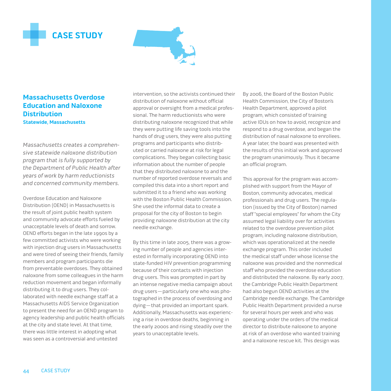



**Massachusetts Overdose Education and Naloxone Distribution Statewide, Massachusetts**

Massachusetts creates a comprehensive statewide naloxone distribution program that is fully supported by the Department of Public Health after years of work by harm reductionists and concerned community members.

Overdose Education and Naloxone Distribution (OEND) in Massachusetts is the result of joint public health system and community advocate efforts fueled by unacceptable levels of death and sorrow. OEND efforts began in the late 1990s by a few committed activists who were working with injection drug users in Massachusetts and were tired of seeing their friends, family members and program participants die from preventable overdoses. They obtained naloxone from some colleagues in the harm reduction movement and began informally distributing it to drug users. They collaborated with needle exchange staff at a Massachusetts AIDS Service Organization to present the need for an OEND program to agency leadership and public health officials at the city and state level. At that time, there was little interest in adopting what was seen as a controversial and untested

intervention, so the activists continued their distribution of naloxone without official approval or oversight from a medical professional. The harm reductionists who were distributing naloxone recognized that while they were putting life saving tools into the hands of drug users, they were also putting programs and participants who distributed or carried naloxone at risk for legal complications. They began collecting basic information about the number of people that they distributed naloxone to and the number of reported overdose reversals and compiled this data into a short report and submitted it to a friend who was working with the Boston Public Health Commission. She used the informal data to create a proposal for the city of Boston to begin providing naloxone distribution at the city needle exchange.

By this time in late 2005, there was a growing number of people and agencies interested in formally incorporating OEND into state-funded HIV prevention programming because of their contacts with injection drug users. This was prompted in part by an intense negative media campaign about drug users—particularly one who was photographed in the process of overdosing and dying—that provided an important spark. Additionally, Massachusetts was experiencing a rise in overdose deaths, beginning in the early 2000s and rising steadily over the years to unacceptable levels.

By 2006, the Board of the Boston Public Health Commission, the City of Boston's Health Department, approved a pilot program, which consisted of training active IDUs on how to avoid, recognize and respond to a drug overdose, and began the distribution of nasal naloxone to enrollees. A year later, the board was presented with the results of this initial work and approved the program unanimously. Thus it became an official program.

This approval for the program was accomplished with support from the Mayor of Boston, community advocates, medical professionals and drug users. The regulation (issued by the City of Boston) named staff "special employees" for whom the City assumed legal liability over for activities related to the overdose prevention pilot program, including naloxone distribution, which was operationalized at the needle exchange program. This order included the medical staff under whose license the naloxone was provided and the nonmedical staff who provided the overdose education and distributed the naloxone. By early 2007, the Cambridge Public Health Department had also begun OEND activities at the Cambridge needle exchange. The Cambridge Public Health Department provided a nurse for several hours per week and who was operating under the orders of the medical director to distribute naloxone to anyone at risk of an overdose who wanted training and a naloxone rescue kit. This design was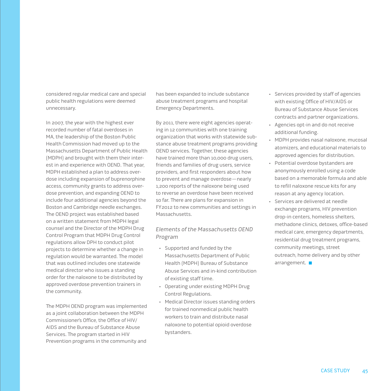considered regular medical care and special public health regulations were deemed unnecessary.

In 2007, the year with the highest ever recorded number of fatal overdoses in MA, the leadership of the Boston Public Health Commission had moved up to the Massachusetts Department of Public Health (MDPH) and brought with them their interest in and experience with OEND. That year, MDPH established a plan to address overdose including expansion of buprenorphine access, community grants to address overdose prevention, and expanding OEND to include four additional agencies beyond the Boston and Cambridge needle exchanges. The OEND project was established based on a written statement from MDPH legal counsel and the Director of the MDPH Drug Control Program that MDPH Drug Control regulations allow DPH to conduct pilot projects to determine whether a change in regulation would be warranted. The model that was outlined includes one statewide medical director who issues a standing order for the naloxone to be distributed by approved overdose prevention trainers in the community.

The MDPH OEND program was implemented as a joint collaboration between the MDPH Commissioner's Office, the Office of HIV/ AIDS and the Bureau of Substance Abuse Services. The program started in HIV Prevention programs in the community and has been expanded to include substance abuse treatment programs and hospital Emergency Departments.

By 2011, there were eight agencies operating in 12 communities with one training organization that works with statewide substance abuse treatment programs providing OEND services. Together, these agencies have trained more than 10,000 drug users, friends and families of drug users, service providers, and first responders about how to prevent and manage overdose—nearly 1,200 reports of the naloxone being used to reverse an overdose have been received so far. There are plans for expansion in FY2012 to new communities and settings in Massachusetts.

#### Elements of the Massachusetts OEND Program

- • Supported and funded by the Massachusetts Department of Public Health (MDPH) Bureau of Substance Abuse Services and in-kind contribution of existing staff time.
- • Operating under existing MDPH Drug Control Regulations.
- • Medical Director issues standing orders for trained nonmedical public health workers to train and distribute nasal naloxone to potential opioid overdose bystanders.
- • Services provided by staff of agencies with existing Office of HIV/AIDS or Bureau of Substance Abuse Services contracts and partner organizations.
- • Agencies opt-in and do not receive additional funding.
- • MDPH provides nasal naloxone, mucosal atomizers, and educational materials to approved agencies for distribution.
- • Potential overdose bystanders are anonymously enrolled using a code based on a memorable formula and able to refill naloxone rescue kits for any reason at any agency location.
- • Services are delivered at needle exchange programs, HIV prevention drop-in centers, homeless shelters, methadone clinics, detoxes, office-based medical care, emergency departments, residential drug treatment programs, community meetings, street outreach, home delivery and by other arrangement.  $\blacksquare$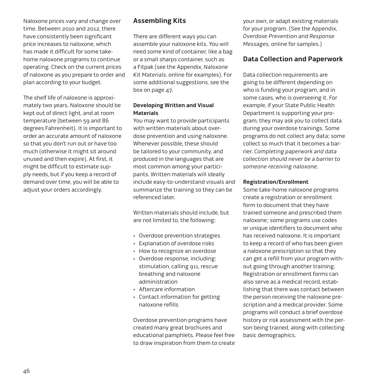Naloxone prices vary and change over time. Between 2010 and 2012, there have consistently been significant price increases to naloxone, which has made it difficult for some takehome naloxone programs to continue operating. Check on the current prices of naloxone as you prepare to order and plan according to your budget.

The shelf life of naloxone is approximately two years. Naloxone should be kept out of direct light, and at room temperature (between 59 and 86 degrees Fahrenheit). It is important to order an accurate amount of naloxone so that you don't run out or have too much (otherwise it might sit around unused and then expire). At first, it might be difficult to estimate supply needs, but if you keep a record of demand over time, you will be able to adjust your orders accordingly.

## **Assembling Kits**

There are different ways you can assemble your naloxone kits. You will need some kind of container, like a bag or a small sharps container, such as a Fitpak (see the [Appendix,](http://harmreduction.org/issues/overdose-prevention/tools-best-practices/manuals-best-practice/od-manual-appendix/) Naloxone Kit Materials, online for examples). For some additional suggestions, see the box on page 47.

#### **Developing Written and Visual Materials**

You may want to provide participants with written materials about overdose prevention and using naloxone. Whenever possible, these should be tailored to your community, and produced in the languages that are most common among your participants. Written materials will ideally include easy-to-understand visuals and summarize the training so they can be referenced later.

Written materials should include, but are not limited to, the following:

- • Overdose prevention strategies
- • Explanation of overdose risks
- • How to recognize an overdose
- • Overdose response, including: stimulation, calling 911, rescue breathing and naloxone administration
- • Aftercare information
- • Contact information for getting naloxone refills

Overdose prevention programs have created many great brochures and educational pamphlets. Please feel free to draw inspiration from them to create your own, or adapt existing materials for your program. (See the [Appendix,](http://harmreduction.org/issues/overdose-prevention/tools-best-practices/manuals-best-practice/od-manual-appendix/) Overdose Prevention and Response Messages, online for samples.)

## **Data Collection and Paperwork**

Data collection requirements are going to be different depending on who is funding your program, and in some cases, who is overseeing it. For example, if your State Public Health Department is supporting your program, they may ask you to collect data during your overdose trainings. Some programs do not collect any data; some collect so much that it becomes a barrier. Completing paperwork and data collection should never be a barrier to someone receiving naloxone.

#### **Registration/Enrollment**

Some take-home naloxone programs create a registration or enrollment form to document that they have trained someone and prescribed them naloxone; some programs use codes or unique identifiers to document who has received naloxone. It is important to keep a record of who has been given a naloxone prescription so that they can get a refill from your program without going through another training. Registration or enrollment forms can also serve as a medical record, establishing that there was contact between the person receiving the naloxone prescription and a medical provider. Some programs will conduct a brief overdose history or risk assessment with the person being trained, along with collecting basic demographics.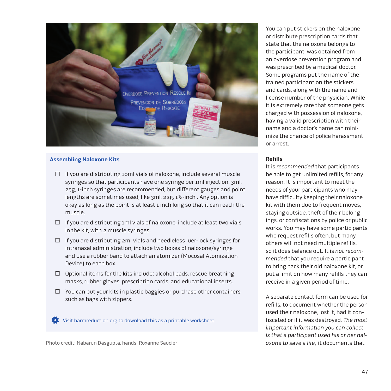

#### **Assembling Naloxone Kits**

- $\Box$  If you are distributing 10ml vials of naloxone, include several muscle syringes so that participants have one syringe per 1ml injection. 3ml, 25g, 1-inch syringes are recommended, but different gauges and point lengths are sometimes used, like 3ml, 22g, 1½-inch . Any option is okay as long as the point is at least 1 inch long so that it can reach the muscle.
- $\Box$  If you are distributing 1ml vials of naloxone, include at least two vials in the kit, with 2 muscle syringes.
- $\Box$  If you are distributing 2ml vials and needleless luer-lock syringes for intranasal administration, include two boxes of naloxone/syringe and use a rubber band to attach an atomizer (Mucosal Atomization Device) to each box.
- $\Box$  Optional items for the kits include: alcohol pads, rescue breathing masks, rubber gloves, prescription cards, and educational inserts.
- $\Box$  You can put your kits in plastic baggies or purchase other containers such as bags with zippers.

[Visit harmreduction.org to download this as a printable worksheet.](http://harmreduction.org/wp-content/uploads/2012/11/HRC_ODprevention_worksheet6.pdf)

Photo credit: Nabarun Dasgupta, hands: Roxanne Saucier

You can put stickers on the naloxone or distribute prescription cards that state that the naloxone belongs to the participant, was obtained from an overdose prevention program and was prescribed by a medical doctor. Some programs put the name of the trained participant on the stickers and cards, along with the name and license number of the physician. While it is extremely rare that someone gets charged with possession of naloxone, having a valid prescription with their name and a doctor's name can minimize the chance of police harassment or arrest.

#### **Refills**

It is recommended that participants be able to get unlimited refills, for any reason. It is important to meet the needs of your participants who may have difficulty keeping their naloxone kit with them due to frequent moves, staying outside, theft of their belongings, or confiscations by police or public works. You may have some participants who request refills often, but many others will not need multiple refills, so it does balance out. It is not recommended that you require a participant to bring back their old naloxone kit, or put a limit on how many refills they can receive in a given period of time.

A separate contact form can be used for refills, to document whether the person used their naloxone, lost it, had it confiscated or if it was destroyed. The most important information you can collect is that a participant used his or her naloxone to save a life; it documents that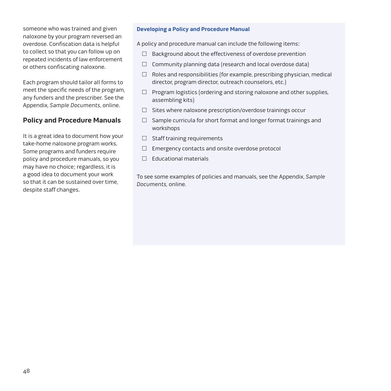someone who was trained and given naloxone by your program reversed an overdose. Confiscation data is helpful to collect so that you can follow up on repeated incidents of law enforcement or others confiscating naloxone.

Each program should tailor all forms to meet the specific needs of the program, any funders and the prescriber. See the [Appendix,](http://harmreduction.org/issues/overdose-prevention/tools-best-practices/manuals-best-practice/od-manual-appendix/) Sample Documents, online.

## **Policy and Procedure Manuals**

It is a great idea to document how your take-home naloxone program works. Some programs and funders require policy and procedure manuals, so you may have no choice; regardless, it is a good idea to document your work so that it can be sustained over time, despite staff changes.

#### **Developing a Policy and Procedure Manual**

A policy and procedure manual can include the following items:

- $\Box$  Background about the effectiveness of overdose prevention
- $\Box$  Community planning data (research and local overdose data)
- $\Box$  Roles and responsibilities (for example, prescribing physician, medical director, program director, outreach counselors, etc.)
- $\Box$  Program logistics (ordering and storing naloxone and other supplies, assembling kits)
- $\Box$  Sites where naloxone prescription/overdose trainings occur
- $\Box$  Sample curricula for short format and longer format trainings and workshops
- $\Box$  Staff training requirements
- $\Box$  Emergency contacts and onsite overdose protocol
- $\Box$  Educational materials

To see some examples of policies and manuals, see the [Appendix,](http://harmreduction.org/issues/overdose-prevention/tools-best-practices/manuals-best-practice/od-manual-appendix/) Sample Documents, online.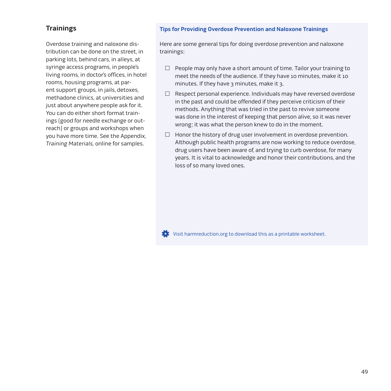## **Trainings**

Overdose training and naloxone distribution can be done on the street, in parking lots, behind cars, in alleys, at syringe access programs, in people's living rooms, in doctor's offices, in hotel rooms, housing programs, at parent support groups, in jails, detoxes, methadone clinics, at universities and just about anywhere people ask for it. You can do either short format trainings (good for needle exchange or outreach) or groups and workshops when you have more time. See the [Appendix,](http://harmreduction.org/issues/overdose-prevention/tools-best-practices/manuals-best-practice/od-manual-appendix/)  Training Materials, online for samples.

#### **Tips for Providing Overdose Prevention and Naloxone Trainings**

Here are some general tips for doing overdose prevention and naloxone trainings:

- $\Box$  People may only have a short amount of time. Tailor your training to meet the needs of the audience. If they have 10 minutes, make it 10 minutes. If they have 3 minutes, make it 3.
- $\Box$  Respect personal experience. Individuals may have reversed overdose in the past and could be offended if they perceive criticism of their methods. Anything that was tried in the past to revive someone was done in the interest of keeping that person alive, so it was never wrong; it was what the person knew to do in the moment.
- $\Box$  Honor the history of drug user involvement in overdose prevention. Although public health programs are now working to reduce overdose, drug users have been aware of, and trying to curb overdose, for many years. It is vital to acknowledge and honor their contributions, and the loss of so many loved ones.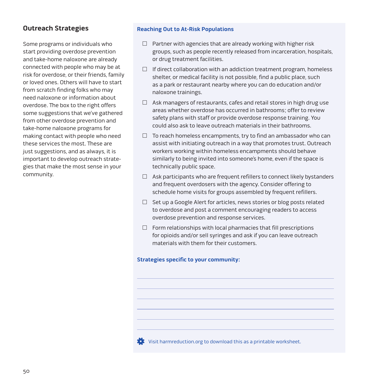## **Outreach Strategies**

Some programs or individuals who start providing overdose prevention and take-home naloxone are already connected with people who may be at risk for overdose, or their friends, family or loved ones. Others will have to start from scratch finding folks who may need naloxone or information about overdose. The box to the right offers some suggestions that we've gathered from other overdose prevention and take-home naloxone programs for making contact with people who need these services the most. These are just suggestions, and as always, it is important to develop outreach strategies that make the most sense in your community.

#### **Reaching Out to At-Risk Populations**

- $\Box$  Partner with agencies that are already working with higher risk groups, such as people recently released from incarceration, hospitals, or drug treatment facilities.
- $\Box$  If direct collaboration with an addiction treatment program, homeless shelter, or medical facility is not possible, find a public place, such as a park or restaurant nearby where you can do education and/or naloxone trainings.
- $\Box$  Ask managers of restaurants, cafes and retail stores in high drug use areas whether overdose has occurred in bathrooms; offer to review safety plans with staff or provide overdose response training. You could also ask to leave outreach materials in their bathrooms.
- $\Box$  To reach homeless encampments, try to find an ambassador who can assist with initiating outreach in a way that promotes trust. Outreach workers working within homeless encampments should behave similarly to being invited into someone's home, even if the space is technically public space.
- $\Box$  Ask participants who are frequent refillers to connect likely bystanders and frequent overdosers with the agency. Consider offering to schedule home visits for groups assembled by frequent refillers.
- $\Box$  Set up a Google Alert for articles, news stories or blog posts related to overdose and post a comment encouraging readers to access overdose prevention and response services.
- $\Box$  Form relationships with local pharmacies that fill prescriptions for opioids and/or sell syringes and ask if you can leave outreach materials with them for their customers.

#### **Strategies specific to your community:**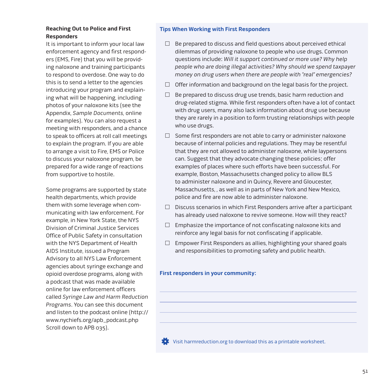## **Reaching Out to Police and First Responders**

It is important to inform your local law enforcement agency and first responders (EMS, Fire) that you will be providing naloxone and training participants to respond to overdose. One way to do this is to send a letter to the agencies introducing your program and explaining what will be happening, including photos of your naloxone kits (see the [Appendix](http://harmreduction.org/issues/overdose-prevention/tools-best-practices/manuals-best-practice/od-manual-appendix/), Sample Documents, online for examples). You can also request a meeting with responders, and a chance to speak to officers at roll call meetings to explain the program. If you are able to arrange a visit to Fire, EMS or Police to discuss your naloxone program, be prepared for a wide range of reactions from supportive to hostile.

Some programs are supported by state health departments, which provide them with some leverage when communicating with law enforcement. For example, in New York State, the NYS Division of Criminal Justice Services Office of Public Safety in consultation with the NYS Department of Health AIDS Institute, issued a Program Advisory to all NYS Law Enforcement agencies about syringe exchange and opioid overdose programs, along with a podcast that was made available online for law enforcement officers called Syringe Law and Harm Reduction Programs. You can see this document and listen to the podcast online (http:// [www.nychiefs.org/apb\\_podcast.php](http://www.nychiefs.org/apb_podcast.php)  Scroll down to APB 035).

#### **Tips When Working with First Responders**

- $\Box$  Be prepared to discuss and field questions about perceived ethical dilemmas of providing naloxone to people who use drugs. Common questions include: Will it support continued or more use? Why help people who are doing illegal activities? Why should we spend taxpayer money on drug users when there are people with "real" emergencies?
- $\Box$  Offer information and background on the legal basis for the project.
- $\Box$  Be prepared to discuss drug use trends, basic harm reduction and drug-related stigma. While first responders often have a lot of contact with drug users, many also lack information about drug use because they are rarely in a position to form trusting relationships with people who use drugs.
- $\Box$  Some first responders are not able to carry or administer naloxone because of internal policies and regulations. They may be resentful that they are not allowed to administer naloxone, while laypersons can. Suggest that they advocate changing these policies; offer examples of places where such efforts have been successful. For example, Boston, Massachusetts changed policy to allow BLS to administer naloxone and in Quincy, Revere and Gloucester, Massachusetts, , as well as in parts of New York and New Mexico, police and fire are now able to administer naloxone.
- $\Box$  Discuss scenarios in which First Responders arrive after a participant has already used naloxone to revive someone. How will they react?
- $\Box$  Emphasize the importance of not confiscating naloxone kits and reinforce any legal basis for not confiscating if applicable.
- $\Box$  Empower First Responders as allies, highlighting your shared goals and responsibilities to promoting safety and public health.

#### **First responders in your community:**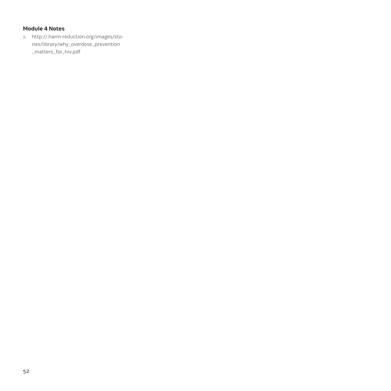## **Module 4 Notes**

1. [http://.harm-reduction.org/images/sto](http://harm-reduction.org/images/stories/library/why_overdose_prevention_matters_for_hiv.pdf)ries/library/why\_overdose\_prevention \_matters\_for\_hiv.pdf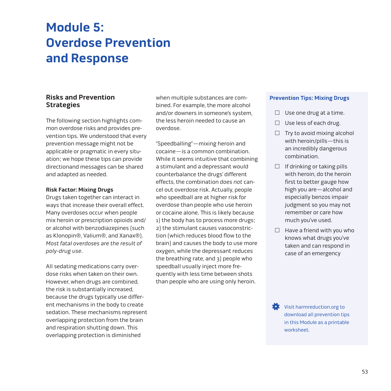## **Module 5: Overdose Prevention and Response**

## **Risks and Prevention Strategies**

The following section highlights common overdose risks and provides prevention tips. We understood that every prevention message might not be applicable or pragmatic in every situation; we hope these tips can provide directionand messages can be shared and adapted as needed.

#### **Risk Factor: Mixing Drugs**

Drugs taken together can interact in ways that increase their overall effect. Many overdoses occur when people mix heroin or prescription opioids and/ or alcohol with benzodiazepines (such as Klonopin®, Valium®, and Xanax®). Most fatal overdoses are the result of poly-drug use.

All sedating medications carry overdose risks when taken on their own. However, when drugs are combined, the risk is substantially increased, because the drugs typically use different mechanisms in the body to create sedation. These mechanisms represent overlapping protection from the brain and respiration shutting down. This overlapping protection is diminished

when multiple substances are combined. For example, the more alcohol and/or downers in someone's system, the less heroin needed to cause an overdose.

"Speedballing"—mixing heroin and cocaine—is a common combination. While it seems intuitive that combining a stimulant and a depressant would counterbalance the drugs' different effects, the combination does not cancel out overdose risk. Actually, people who speedball are at higher risk for overdose than people who use heroin or cocaine alone. This is likely because 1) the body has to process more drugs; 2) the stimulant causes vasoconstriction (which reduces blood flow to the brain) and causes the body to use more oxygen, while the depressant reduces the breathing rate, and 3) people who speedball usually inject more frequently with less time between shots than people who are using only heroin.

#### **Prevention Tips: Mixing Drugs**

- $\Box$  Use one drug at a time.
- $\Box$  Use less of each drug.
- $\Box$  Try to avoid mixing alcohol with heroin/pills—this is an incredibly dangerous combination.
- $\Box$  If drinking or taking pills with heroin, do the heroin first to better gauge how high you are—alcohol and especially benzos impair judgment so you may not remember or care how much you've used.
- $\Box$  Have a friend with you who knows what drugs you've taken and can respond in case of an emergency

Visit harmreduction.org to [download all prevention tips](http://harmreduction.org/wp-content/uploads/2012/11/HRC_ODprevention_worksheet9.pdf)  in this Module as a printable worksheet.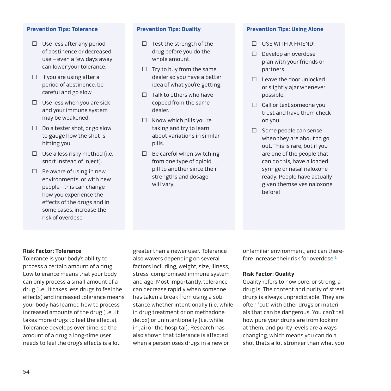#### **Prevention Tips: Tolerance**

- $\Box$  Use less after any period of abstinence or decreased use – even a few days away can lower your tolerance.
- $\Box$  If you are using after a period of abstinence, be careful and go slow
- $\Box$  Use less when you are sick and your immune system may be weakened.
- $\Box$  Do a tester shot, or go slow to gauge how the shot is hitting you.
- $\Box$  Use a less risky method (i.e. snort instead of inject).
- $\Box$  Be aware of using in new environments, or with new people—this can change how you experience the effects of the drugs and in some cases, increase the risk of overdose

#### **Prevention Tips: Quality**

- $\Box$  Test the strength of the drug before you do the whole amount.
- $\Box$  Try to buy from the same dealer so you have a better idea of what you're getting.
- $\Box$  Talk to others who have copped from the same dealer.
- $\Box$  Know which pills you're taking and try to learn about variations in similar pills.
- $\Box$  Be careful when switching from one type of opioid pill to another since their strengths and dosage will vary.

#### **Prevention Tips: Using Alone**

- $\Box$  USE WITH A FRIEND!
- $\Box$  Develop an overdose plan with your friends or partners.
- $\Box$  Leave the door unlocked or slightly ajar whenever possible.
- $\Box$  Call or text someone you trust and have them check on you.
- $\Box$  Some people can sense when they are about to go out. This is rare, but if you are one of the people that can do this, have a loaded syringe or nasal naloxone ready. People have actually given themselves naloxone before!

#### **Risk Factor: Tolerance**

Tolerance is your body's ability to process a certain amount of a drug. Low tolerance means that your body can only process a small amount of a drug (i.e., it takes less drugs to feel the effects) and increased tolerance means your body has learned how to process increased amounts of the drug (i.e., it takes more drugs to feel the effects). Tolerance develops over time, so the amount of a drug a long-time user needs to feel the drug's effects is a lot

greater than a newer user. Tolerance also wavers depending on several factors including, weight, size, illness, stress, compromised immune system, and age. Most importantly, tolerance can decrease rapidly when someone has taken a break from using a substance whether intentionally (i.e. while in drug treatment or on methadone detox) or unintentionally (i.e. while in jail or the hospital). Research has also shown that tolerance is affected when a person uses drugs in a new or

unfamiliar environment, and can therefore increase their risk for overdose. $<sup>1</sup>$ </sup>

#### **Risk Factor: Quality**

Quality refers to how pure, or strong, a drug is. The content and purity of street drugs is always unpredictable. They are often "cut" with other drugs or materials that can be dangerous. You can't tell how pure your drugs are from looking at them, and purity levels are always changing, which means you can do a shot that's a lot stronger than what you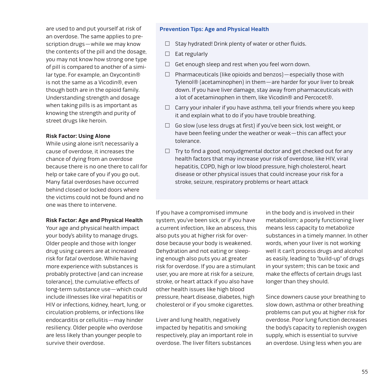are used to and put yourself at risk of an overdose. The same applies to prescription drugs—while we may know the contents of the pill and the dosage, you may not know how strong one type of pill is compared to another of a similar type. For example, an Oxycontin® is not the same as a Vicodin®, even though both are in the opioid family. Understanding strength and dosage when taking pills is as important as knowing the strength and purity of street drugs like heroin.

#### **Risk Factor: Using Alone**

While using alone isn't necessarily a cause of overdose, it increases the chance of dying from an overdose because there is no one there to call for help or take care of you if you go out. Many fatal overdoses have occurred behind closed or locked doors where the victims could not be found and no one was there to intervene.

#### **Risk Factor: Age and Physical Health**

Your age and physical health impact your body's ability to manage drugs. Older people and those with longer drug using careers are at increased risk for fatal overdose. While having more experience with substances is probably protective (and can increase tolerance), the cumulative effects of long-term substance use—which could include illnesses like viral hepatitis or HIV or infections, kidney, heart, lung, or circulation problems, or infections like endocarditis or cellulitis—may hinder resiliency. Older people who overdose are less likely than younger people to survive their overdose.

#### **Prevention Tips: Age and Physical Health**

- $\Box$  Stay hydrated! Drink plenty of water or other fluids.
- $\Box$  Eat regularly
- $\Box$  Get enough sleep and rest when you feel worn down.
- $\Box$  Pharmaceuticals (like opioids and benzos) especially those with Tylenol® (acetaminophen) in them—are harder for your liver to break down. If you have liver damage, stay away from pharmaceuticals with a lot of acetaminophen in them, like Vicodin® and Percocet®.
- $\Box$  Carry your inhaler if you have asthma, tell your friends where you keep it and explain what to do if you have trouble breathing.
- $\Box$  Go slow (use less drugs at first) if you've been sick, lost weight, or have been feeling under the weather or weak—this can affect your tolerance.
- $\Box$  Try to find a good, nonjudgmental doctor and get checked out for any health factors that may increase your risk of overdose, like HIV, viral hepatitis, COPD, high or low blood pressure, high cholesterol, heart disease or other physical issues that could increase your risk for a stroke, seizure, respiratory problems or heart attack

If you have a compromised immune system, you've been sick, or if you have a current infection, like an abscess, this also puts you at higher risk for overdose because your body is weakened. Dehydration and not eating or sleeping enough also puts you at greater risk for overdose. If you are a stimulant user, you are more at risk for a seizure, stroke, or heart attack if you also have other health issues like high blood pressure, heart disease, diabetes, high cholesterol or if you smoke cigarettes.

Liver and lung health, negatively impacted by hepatitis and smoking respectively, play an important role in overdose. The liver filters substances

in the body and is involved in their metabolism; a poorly functioning liver means less capacity to metabolize substances in a timely manner. In other words, when your liver is not working well it can't process drugs and alcohol as easily, leading to "build-up" of drugs in your system; this can be toxic and make the effects of certain drugs last longer than they should.

Since downers cause your breathing to slow down, asthma or other breathing problems can put you at higher risk for overdose. Poor lung function decreases the body's capacity to replenish oxygen supply, which is essential to survive an overdose. Using less when you are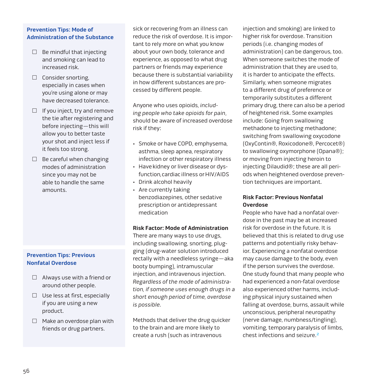### **Prevention Tips: Mode of Administration of the Substance**

- $\Box$  Be mindful that injecting and smoking can lead to increased risk.
- $\Box$  Consider snorting, especially in cases when you're using alone or may have decreased tolerance.
- $\Box$  If you inject, try and remove the tie after registering and before injecting—this will allow you to better taste your shot and inject less if it feels too strong.
- $\Box$  Be careful when changing modes of administration since you may not be able to handle the same amounts.

## **Prevention Tips: Previous Nonfatal Overdose**

- $\Box$  Always use with a friend or around other people.
- $\Box$  Use less at first, especially if you are using a new product.
- $\Box$  Make an overdose plan with friends or drug partners.

sick or recovering from an illness can reduce the risk of overdose. It is important to rely more on what you know about your own body, tolerance and experience, as opposed to what drug partners or friends may experience because there is substantial variability in how different substances are processed by different people.

Anyone who uses opioids, including people who take opioids for pain, should be aware of increased overdose risk if they:

- Smoke or have COPD, emphysema, asthma, sleep apnea, respiratory infection or other respiratory illness
- • Have kidney or liver disease or dysfunction, cardiac illness or HIV/AIDS
- • Drink alcohol heavily
- • Are currently taking benzodiazepines, other sedative prescription or antidepressant medication

#### **Risk Factor: Mode of Administration**

There are many ways to use drugs, including swallowing, snorting, plugging (drug-water solution introduced rectally with a needleless syringe—aka booty bumping), intramuscular injection, and intravenous injection. Regardless of the mode of administration, if someone uses enough drugs in a short enough period of time, overdose is possible.

Methods that deliver the drug quicker to the brain and are more likely to create a rush (such as intravenous

injection and smoking) are linked to higher risk for overdose. Transition periods (i.e. changing modes of administration) can be dangerous, too. When someone switches the mode of administration that they are used to, it is harder to anticipate the effects. Similarly, when someone migrates to a different drug of preference or temporarily substitutes a different primary drug, there can also be a period of heightened risk. Some examples include: Going from swallowing methadone to injecting methadone; switching from swallowing oxycodone (OxyContin®, Roxicodone®, Percocet®) to swallowing oxymorphone (Opana®); or moving from injecting heroin to injecting Dilaudid®; these are all periods when heightened overdose prevention techniques are important.

## **Risk Factor: Previous Nonfatal Overdose**

People who have had a nonfatal overdose in the past may be at increased risk for overdose in the future. It is believed that this is related to drug use patterns and potentially risky behavior. Experiencing a nonfatal overdose may cause damage to the body, even if the person survives the overdose. One study found that many people who had experienced a non-fatal overdose also experienced other harms, including physical injury sustained when falling at overdose, burns, assault while unconscious, peripheral neuropathy (nerve damage, numbness/tingling), vomiting, temporary paralysis of limbs, chest infections and seizure.2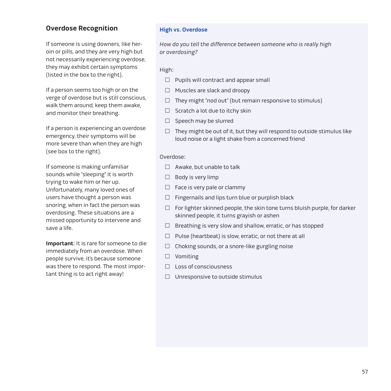## **Overdose Recognition**

If someone is using downers, like heroin or pills, and they are very high but not necessarily experiencing overdose, they may exhibit certain symptoms (listed in the box to the right).

If a person seems too high or on the verge of overdose but is still conscious, walk them around, keep them awake, and monitor their breathing.

If a person is experiencing an overdose emergency, their symptoms will be more severe than when they are high (see box to the right).

If someone is making unfamiliar sounds while "sleeping" it is worth trying to wake him or her up. Unfortunately, many loved ones of users have thought a person was snoring, when in fact the person was overdosing. These situations are a missed opportunity to intervene and save a life.

**Important**: It is rare for someone to die immediately from an overdose. When people survive, it's because someone was there to respond. The most important thing is to act right away!

#### **High vs. Overdose**

How do you tell the difference between someone who is really high or overdosing?

#### High:

- $\Box$  Pupils will contract and appear small
- $\Box$  Muscles are slack and droopy
- $\Box$  They might "nod out" (but remain responsive to stimulus)
- $\Box$  Scratch a lot due to itchy skin
- $\Box$  Speech may be slurred
- $\Box$  They might be out of it, but they will respond to outside stimulus like loud noise or a light shake from a concerned friend

#### Overdose:

- $\Box$  Awake, but unable to talk
- $\Box$  Body is very limp
- $\Box$  Face is very pale or clammy
- $\Box$  Fingernails and lips turn blue or purplish black
- $\Box$  For lighter skinned people, the skin tone turns bluish purple, for darker skinned people, it turns grayish or ashen
- $\Box$  Breathing is very slow and shallow, erratic, or has stopped
- $\Box$  Pulse (heartbeat) is slow, erratic, or not there at all
- $\Box$  Choking sounds, or a snore-like gurgling noise
- □ Vomiting
- $\square$  Loss of consciousness
- $\Box$  Unresponsive to outside stimulus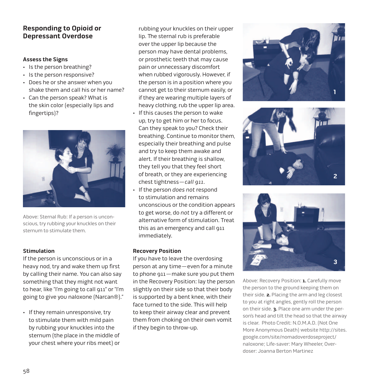## **Responding to Opioid or Depressant Overdose**

#### **Assess the Signs**

- • Is the person breathing?
- • Is the person responsive?
- • Does he or she answer when you shake them and call his or her name?
- • Can the person speak? What is the skin color (especially lips and fingertips)?



Above: Sternal Rub: If a person is unconscious, try rubbing your knuckles on their sternum to stimulate them.

## **Stimulation**

If the person is unconscious or in a heavy nod, try and wake them up first by calling their name. You can also say something that they might not want to hear, like "I'm going to call 911" or "I'm going to give you naloxone (Narcan®)."

• If they remain unresponsive, try to stimulate them with mild pain by rubbing your knuckles into the sternum (the place in the middle of your chest where your ribs meet) or

rubbing your knuckles on their upper lip. The sternal rub is preferable over the upper lip because the person may have dental problems, or prosthetic teeth that may cause pain or unnecessary discomfort when rubbed vigorously. However, if the person is in a position where you cannot get to their sternum easily, or if they are wearing multiple layers of heavy clothing, rub the upper lip area. • If this causes the person to wake up, try to get him or her to focus. Can they speak to you? Check their breathing. Continue to monitor them, especially their breathing and pulse and try to keep them awake and alert. If their breathing is shallow, they tell you that they feel short of breath, or they are experiencing chest tightness—call 911.

• If the person does not respond to stimulation and remains unconscious or the condition appears to get worse, do not try a different or alternative form of stimulation. Treat this as an emergency and call 911 immediately.

#### **Recovery Position**

If you have to leave the overdosing person at any time—even for a minute to phone 911—make sure you put them in the Recovery Position: lay the person slightly on their side so that their body is supported by a bent knee, with their face turned to the side. This will help to keep their airway clear and prevent them from choking on their own vomit if they begin to throw-up.







Above: Recovery Position: **1.** Carefully move the person to the ground keeping them on their side. **2.** Placing the arm and leg closest to you at right angles, gently roll the person on their side. **3.** Place one arm under the person's head and tilt the head so that the airway is clear. Photo Credit: N.O.M.A.D. (Not One [More Anonymous Death\) website http://sites.](https://sites.google.com/site/nomadoverdoseproject/nomadhomepage) google.com/site/nomadoverdoseproject/ naloxone; Life-saver: Mary Wheeler, Overdoser: Joanna Berton Martinez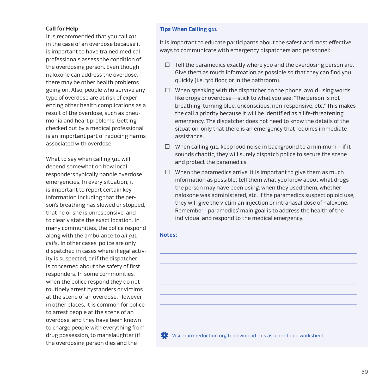#### **Call for Help**

It is recommended that you call 911 in the case of an overdose because it is important to have trained medical professionals assess the condition of the overdosing person. Even though naloxone can address the overdose, there may be other health problems going on. Also, people who survive any type of overdose are at risk of experiencing other health complications as a result of the overdose, such as pneumonia and heart problems. Getting checked out by a medical professional is an important part of reducing harms associated with overdose.

What to say when calling 911 will depend somewhat on how local responders typically handle overdose emergencies. In every situation, it is important to report certain key information including that the person's breathing has slowed or stopped, that he or she is unresponsive, and to clearly state the exact location. In many communities, the police respond along with the ambulance to all 911 calls. In other cases, police are only dispatched in cases where illegal activity is suspected, or if the dispatcher is concerned about the safety of first responders. In some communities, when the police respond they do not routinely arrest bystanders or victims at the scene of an overdose. However, in other places, it is common for police to arrest people at the scene of an overdose, and they have been known to charge people with everything from drug possession, to manslaughter (if the overdosing person dies and the

#### **Tips When Calling 911**

It is important to educate participants about the safest and most effective ways to communicate with emergency dispatchers and personnel:

- $\Box$  Tell the paramedics exactly where you and the overdosing person are. Give them as much information as possible so that they can find you quickly (i.e. 3rd floor, or in the bathroom).
- $\Box$  When speaking with the dispatcher on the phone, avoid using words like drugs or overdose—stick to what you see: "The person is not breathing, turning blue, unconscious, non-responsive, etc." This makes the call a priority because it will be identified as a life-threatening emergency. The dispatcher does not need to know the details of the situation, only that there is an emergency that requires immediate assistance.
- $\Box$  When calling 911, keep loud noise in background to a minimum—if it sounds chaotic, they will surely dispatch police to secure the scene and protect the paramedics.
- $\Box$  When the paramedics arrive, it is important to give them as much information as possible; tell them what you know about what drugs the person may have been using, when they used them, whether naloxone was administered, etc. If the paramedics suspect opioid use, they will give the victim an injection or intranasal dose of naloxone. Remember - paramedics' main goal is to address the health of the individual and respond to the medical emergency.

#### **Notes:**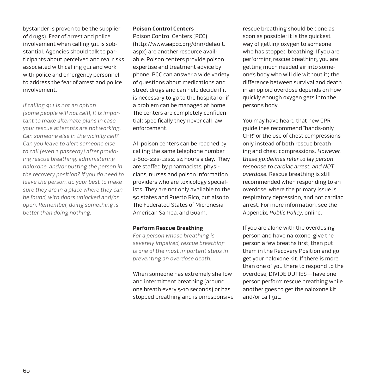bystander is proven to be the supplier of drugs). Fear of arrest and police involvement when calling 911 is substantial. Agencies should talk to participants about perceived and real risks associated with calling 911 and work with police and emergency personnel to address the fear of arrest and police involvement.

If calling 911 is not an option

(some people will not call), it is important to make alternate plans in case your rescue attempts are not working. Can someone else in the vicinity call? Can you leave to alert someone else to call (even a passerby) after providing rescue breathing, administering naloxone, and/or putting the person in the recovery position? If you do need to leave the person, do your best to make sure they are in a place where they can be found, with doors unlocked and/or open. Remember, doing something is better than doing nothing.

#### **Poison Control Centers**

Poison Control Centers (PCC) (http://www.aapcc.org/dnn/default. aspx) are another resource available. Poison centers provide poison expertise and treatment advice by phone. PCC can answer a wide variety of questions about medications and street drugs and can help decide if it is necessary to go to the hospital or if a problem can be managed at home. The centers are completely confidential; specifically they never call law enforcement.

All poison centers can be reached by calling the same telephone number 1-800-222-1222, 24 hours a day. They are staffed by pharmacists, physicians, nurses and poison information providers who are toxicology specialists. They are not only available to the 50 states and Puerto Rico, but also to The Federated States of Micronesia, American Samoa, and Guam.

#### **Perform Rescue Breathing**

For a person whose breathing is severely impaired, rescue breathing is one of the most important steps in preventing an overdose death.

When someone has extremely shallow and intermittent breathing (around one breath every 5-10 seconds) or has stopped breathing and is unresponsive, rescue breathing should be done as soon as possible; it is the quickest way of getting oxygen to someone who has stopped breathing. If you are performing rescue breathing, you are getting much needed air into someone's body who will die without it; the difference between survival and death in an opioid overdose depends on how quickly enough oxygen gets into the person's body.

You may have heard that new CPR guidelines recommend "hands-only CPR" or the use of chest compressions only instead of both rescue breathing and chest compressions. However, these guidelines refer to lay person response to cardiac arrest, and NOT overdose. Rescue breathing is still recommended when responding to an overdose, where the primary issue is respiratory depression, and not cardiac arrest. For more information, see the [Appendix,](http://harmreduction.org/issues/overdose-prevention/tools-best-practices/manuals-best-practice/od-manual-appendix/) Public Policy, online.

If you are alone with the overdosing person and have naloxone, give the person a few breaths first, then put them in the Recovery Position and go get your naloxone kit. If there is more than one of you there to respond to the overdose, DIVIDE DUTIES—have one person perform rescue breathing while another goes to get the naloxone kit and/or call 911.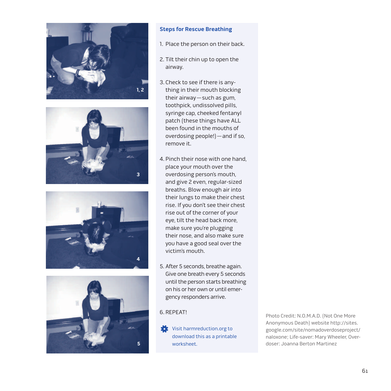







#### **Steps for Rescue Breathing**

- 1. Place the person on their back.
- 2. Tilt their chin up to open the airway.
- 3. Check to see if there is anything in their mouth blocking their airway—such as gum, toothpick, undissolved pills, syringe cap, cheeked fentanyl patch (these things have ALL been found in the mouths of overdosing people!)—and if so, remove it.
- 4. Pinch their nose with one hand, place your mouth over the overdosing person's mouth, and give 2 even, regular-sized breaths. Blow enough air into their lungs to make their chest rise. If you don't see their chest rise out of the corner of your eye, tilt the head back more, make sure you're plugging their nose, and also make sure you have a good seal over the victim's mouth.
- 5. After 5 seconds, breathe again. Give one breath every 5 seconds until the person starts breathing on his or her own or until emergency responders arrive.

**Visit harmreduction.org to** [download this as a printable](http://harmreduction.org/wp-content/uploads/2012/11/HRC_ODprevention_worksheet11.pdf)  worksheet.

6. REPEAT! Photo Credit: N.O.M.A.D. (Not One More Anonymous Death) website http://sites. [google.com/site/nomadoverdoseproject/](https://sites.google.com/site/nomadoverdoseproject/nomadhomepage) naloxone; Life-saver: Mary Wheeler, Overdoser: Joanna Berton Martinez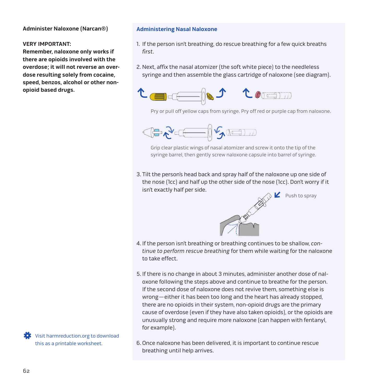#### **Administer Naloxone (Narcan®)**

#### **VERY IMPORTANT:**

**Remember, naloxone only works if there are opioids involved with the overdose; it will not reverse an overdose resulting solely from cocaine, speed, benzos, alcohol or other nonopioid based drugs.** 

**Administering Nasal Naloxone**

- 1. If the person isn't breathing, do rescue breathing for a few quick breaths first.
- 2. Next, affix the nasal atomizer (the soft white piece) to the needleless syringe and then assemble the glass cartridge of naloxone (see diagram).



Pry or pull off yellow caps from syringe. Pry off red or purple cap from naloxone.



Grip clear plastic wings of nasal atomizer and screw it onto the tip of the syringe barrel, then gently screw naloxone capsule into barrel of syringe.

3. Tilt the person's head back and spray half of the naloxone up one side of the nose (1cc) and half up the other side of the nose (1cc). Don't worry if it isn't exactly half per side.

Push to spray



4. If the person isn't breathing or breathing continues to be shallow, continue to perform rescue breathing for them while waiting for the naloxone to take effect.

- 5. If there is no change in about 3 minutes, administer another dose of naloxone following the steps above and continue to breathe for the person. If the second dose of naloxone does not revive them, something else is wrong—either it has been too long and the heart has already stopped, there are no opioids in their system, non-opioid drugs are the primary cause of overdose (even if they have also taken opioids), or the opioids are unusually strong and require more naloxone (can happen with fentanyl, for example).
- 6. Once naloxone has been delivered, it is important to continue rescue breathing until help arrives.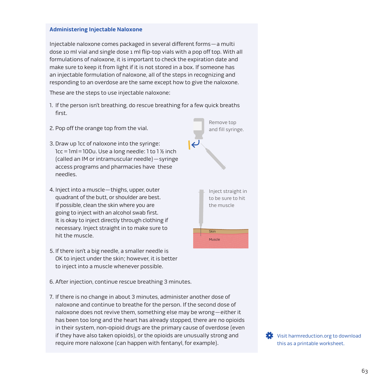#### **Administering Injectable Naloxone**

Injectable naloxone comes packaged in several different forms—a multi dose 10 ml vial and single dose 1 ml flip-top vials with a pop off top. With all formulations of naloxone, it is important to check the expiration date and make sure to keep it from light if it is not stored in a box. If someone has an injectable formulation of naloxone, all of the steps in recognizing and responding to an overdose are the same except how to give the naloxone.

These are the steps to use injectable naloxone:

- 1. If the person isn't breathing, do rescue breathing for a few quick breaths first.
- 2. Pop off the orange top from the vial.
- 3. Draw up 1cc of naloxone into the syringe:  $1cc = 1ml = 100u$ . Use a long needle: 1 to 1 % inch (called an IM or intramuscular needle)—syringe access programs and pharmacies have these needles.
- 4. Inject into a muscle—thighs, upper, outer quadrant of the butt, or shoulder are best. If possible, clean the skin where you are going to inject with an alcohol swab first. It is okay to inject directly through clothing if necessary. Inject straight in to make sure to hit the muscle.
- 5. If there isn't a big needle, a smaller needle is OK to inject under the skin; however, it is better to inject into a muscle whenever possible.
- 6. After injection, continue rescue breathing 3 minutes.
- 7. If there is no change in about 3 minutes, administer another dose of naloxone and continue to breathe for the person. If the second dose of naloxone does not revive them, something else may be wrong—either it has been too long and the heart has already stopped, there are no opioids in their system, non-opioid drugs are the primary cause of overdose (even if they have also taken opioids), or the opioids are unusually strong and require more naloxone (can happen with fentanyl, for example).

**Skin** Muscle Inject straight in to be sure to hit the muscle

Remove top and fill syringe.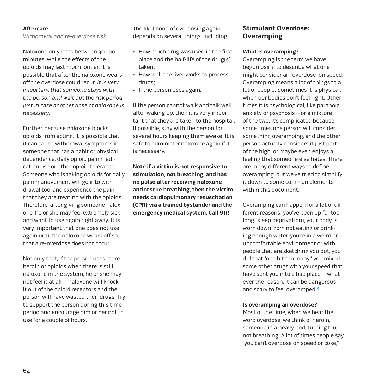#### **Aftercare**

Withdrawal and re-overdose risk

Naloxone only lasts between 30–90 minutes, while the effects of the opioids may last much longer. It is possible that after the naloxone wears off the overdose could recur. It is very important that someone stays with the person and wait out the risk period just in case another dose of naloxone is necessary.

Further, because naloxone blocks opioids from acting, it is possible that it can cause withdrawal symptoms in someone that has a habit or physical dependence, daily opioid pain medication use or other opioid tolerance. Someone who is taking opioids for daily pain management will go into withdrawal too, and experience the pain that they are treating with the opioids. Therefore, after giving someone naloxone, he or she may feel extremely sick and want to use again right away. It is very important that one does not use again until the naloxone wears off so that a re-overdose does not occur.

Not only that, if the person uses more heroin or opioids when there is still naloxone in the system, he or she may not feel it at all —naloxone will knock it out of the opioid receptors and the person will have wasted their drugs. Try to support the person during this time period and encourage him or her not to use for a couple of hours.

The likelihood of overdosing again depends on several things, including:

- • How much drug was used in the first place and the half-life of the drug(s) taken;
- • How well the liver works to process drugs;
- • If the person uses again.

If the person cannot walk and talk well after waking up, then it is very important that they are taken to the hospital. If possible, stay with the person for several hours keeping them awake. It is safe to administer naloxone again if it is necessary.

**Note if a victim is not responsive to stimulation, not breathing, and has no pulse after receiving naloxone and rescue breathing, then the victim needs cardiopulmonary resuscitation (CPR) via a trained bystander and the emergency medical system. Call 911!** 

## **Stimulant Overdose: Overamping**

#### **What is overamping?**

Overamping is the term we have begun using to describe what one might consider an "overdose" on speed. Overamping means a lot of things to a lot of people. Sometimes it is physical, when our bodies don't feel right. Other times it is psychological, like paranoia, anxiety or psychosis—or a mixture of the two. It's complicated because sometimes one person will consider something overamping, and the other person actually considers it just part of the high, or maybe even enjoys a feeling that someone else hates. There are many different ways to define overamping, but we've tried to simplify it down to some common elements within this document.

Overamping can happen for a lot of different reasons: you've been up for too long (sleep deprivation), your body is worn down from not eating or drinking enough water, you're in a weird or uncomfortable environment or with people that are sketching you out, you did that "one hit too many," you mixed some other drugs with your speed that have sent you into a bad place —whatever the reason, it can be dangerous and scary to feel overamped.<sup>3</sup>

#### **Is overamping an overdose?**

Most of the time, when we hear the word overdose, we think of heroin, someone in a heavy nod, turning blue, not breathing. A lot of times people say "you can't overdose on speed or coke,"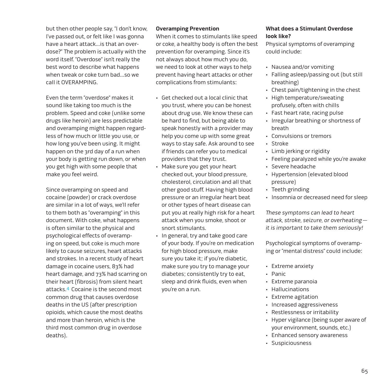but then other people say, "I don't know, I've passed out, or felt like I was gonna have a heart attack…is that an overdose?" The problem is actually with the word itself. "Overdose" isn't really the best word to describe what happens when tweak or coke turn bad…so we call it OVERAMPING.

Even the term "overdose" makes it sound like taking too much is the problem. Speed and coke (unlike some drugs like heroin) are less predictable and overamping might happen regardless of how much or little you use, or how long you've been using. It might happen on the 3rd day of a run when your body is getting run down, or when you get high with some people that make you feel weird.

Since overamping on speed and cocaine (powder) or crack overdose are similar in a lot of ways, we'll refer to them both as "overamping" in this document. With coke, what happens is often similar to the physical and psychological effects of overamping on speed, but coke is much more likely to cause seizures, heart attacks and strokes. In a recent study of heart damage in cocaine users, 83% had heart damage, and 73% had scarring on their heart (fibrosis) from silent heart attacks.4 Cocaine is the second most common drug that causes overdose deaths in the US (after prescription opioids, which cause the most deaths and more than heroin, which is the third most common drug in overdose deaths).

#### **Overamping Prevention**

When it comes to stimulants like speed or coke, a healthy body is often the best prevention for overamping. Since it's not always about how much you do, we need to look at other ways to help prevent having heart attacks or other complications from stimulants:

- • Get checked out a local clinic that you trust, where you can be honest about drug use. We know these can be hard to find, but being able to speak honestly with a provider may help you come up with some great ways to stay safe. Ask around to see if friends can refer you to medical providers that they trust.
- Make sure you get your heart checked out, your blood pressure, cholesterol, circulation and all that other good stuff. Having high blood pressure or an irregular heart beat or other types of heart disease can put you at really high risk for a heart attack when you smoke, shoot or snort stimulants.
- In general, try and take good care of your body. If you're on medication for high blood pressure, make sure you take it; if you're diabetic, make sure you try to manage your diabetes; consistently try to eat, sleep and drink fluids, even when you're on a run.

#### **What does a Stimulant Overdose look like?**

Physical symptoms of overamping could include:

- • Nausea and/or vomiting
- • Falling asleep/passing out (but still breathing)
- • Chest pain/tightening in the chest
- • High temperature/sweating profusely, often with chills
- Fast heart rate, racing pulse
- • Irregular breathing or shortness of breath
- • Convulsions or tremors
- • Stroke
- • Limb jerking or rigidity
- Feeling paralyzed while you're awake
- • Severe headache
- • Hypertension (elevated blood pressure)
- Teeth grinding
- Insomnia or decreased need for sleep

These symptoms can lead to heart attack, stroke, seizure, or overheating it is important to take them seriously!

Psychological symptoms of overamping or "mental distress" could include:

- • Extreme anxiety
- • Panic
- • Extreme paranoia
- • Hallucinations
- • Extreme agitation
- Increased aggressiveness
- • Restlessness or irritability
- • Hyper vigilance (being super aware of your environment, sounds, etc.)
- • Enhanced sensory awareness
- • Suspiciousness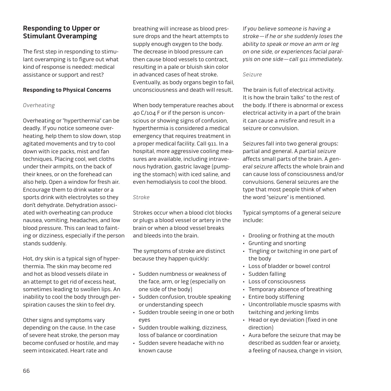## **Responding to Upper or Stimulant Overamping**

The first step in responding to stimulant overamping is to figure out what kind of response is needed: medical assistance or support and rest?

#### **Responding to Physical Concerns**

#### Overheating

Overheating or "hyperthermia" can be deadly. If you notice someone overheating, help them to slow down, stop agitated movements and try to cool down with ice packs, mist and fan techniques. Placing cool, wet cloths under their armpits, on the back of their knees, or on the forehead can also help. Open a window for fresh air. Encourage them to drink water or a sports drink with electrolytes so they don't dehydrate. Dehydration associated with overheating can produce nausea, vomiting, headaches, and low blood pressure. This can lead to fainting or dizziness, especially if the person stands suddenly.

Hot, dry skin is a typical sign of hyperthermia. The skin may become red and hot as blood vessels dilate in an attempt to get rid of excess heat, sometimes leading to swollen lips. An inability to cool the body through perspiration causes the skin to feel dry.

Other signs and symptoms vary depending on the cause. In the case of severe heat stroke, the person may become confused or hostile, and may seem intoxicated. Heart rate and

breathing will increase as blood pressure drops and the heart attempts to supply enough oxygen to the body. The decrease in blood pressure can then cause blood vessels to contract, resulting in a pale or bluish skin color in advanced cases of heat stroke. Eventually, as body organs begin to fail, unconsciousness and death will result.

When body temperature reaches about 40 C/104 F or if the person is unconscious or showing signs of confusion, hyperthermia is considered a medical emergency that requires treatment in a proper medical facility. Call 911. In a hospital, more aggressive cooling measures are available, including intravenous hydration, gastric lavage (pumping the stomach) with iced saline, and even hemodialysis to cool the blood.

#### Stroke

Strokes occur when a blood clot blocks or plugs a blood vessel or artery in the brain or when a blood vessel breaks and bleeds into the brain.

The symptoms of stroke are distinct because they happen quickly:

- • Sudden numbness or weakness of the face, arm, or leg (especially on one side of the body)
- • Sudden confusion, trouble speaking or understanding speech
- • Sudden trouble seeing in one or both eyes
- • Sudden trouble walking, dizziness, loss of balance or coordination
- • Sudden severe headache with no known cause

If you believe someone is having a stroke—if he or she suddenly loses the ability to speak or move an arm or leg on one side, or experiences facial paralysis on one side—call 911 immediately.

#### Seizure

The brain is full of electrical activity. It is how the brain 'talks" to the rest of the body. If there is abnormal or excess electrical activity in a part of the brain it can cause a misfire and result in a seizure or convulsion.

Seizures fall into two general groups: partial and general. A partial seizure affects small parts of the brain. A general seizure affects the whole brain and can cause loss of consciousness and/or convulsions. General seizures are the type that most people think of when the word "seizure" is mentioned.

Typical symptoms of a general seizure include:

- • Drooling or frothing at the mouth
- • Grunting and snorting
- • Tingling or twitching in one part of the body
- • Loss of bladder or bowel control
- • Sudden falling
- • Loss of consciousness
- • Temporary absence of breathing
- • Entire body stiffening
- • Uncontrollable muscle spasms with twitching and jerking limbs
- Head or eye deviation (fixed in one direction)
- • Aura before the seizure that may be described as sudden fear or anxiety, a feeling of nausea, change in vision,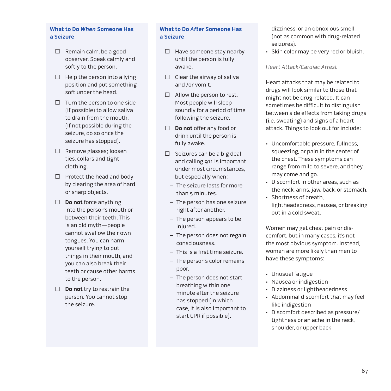## **What to Do When Someone Has a Seizure**

- $\Box$  Remain calm, be a good observer. Speak calmly and softly to the person.
- $\Box$  Help the person into a lying position and put something soft under the head.
- $\Box$  Turn the person to one side (if possible) to allow saliva to drain from the mouth. (If not possible during the seizure, do so once the seizure has stopped).
- $\Box$  Remove glasses; loosen ties, collars and tight clothing.
- $\Box$  Protect the head and body by clearing the area of hard or sharp objects.
- **Do not** force anything into the person's mouth or between their teeth. This is an old myth—people cannot swallow their own tongues. You can harm yourself trying to put things in their mouth, and you can also break their teeth or cause other harms to the person.
- **Do not** try to restrain the person. You cannot stop the seizure.

## **What to Do After Someone Has a Seizure**

- $\Box$  Have someone stay nearby until the person is fully awake.
- $\Box$  Clear the airway of saliva and /or vomit.
- $\Box$  Allow the person to rest. Most people will sleep soundly for a period of time following the seizure.
- **Do not** offer any food or drink until the person is fully awake.
- $\Box$  Seizures can be a big deal and calling 911 is important under most circumstances, but especially when:
	- The seizure lasts for more than 5 minutes.
	- The person has one seizure right after another.
	- The person appears to be injured.
	- The person does not regain consciousness.
	- This is a first time seizure.
	- The person's color remains poor.
	- The person does not start breathing within one minute after the seizure has stopped (in which case, it is also important to start CPR if possible).

dizziness, or an obnoxious smell (not as common with drug-related seizures).

• Skin color may be very red or bluish.

#### Heart Attack/Cardiac Arrest

Heart attacks that may be related to drugs will look similar to those that might not be drug-related. It can sometimes be difficult to distinguish between side effects from taking drugs (i.e. sweating) and signs of a heart attack. Things to look out for include:

- • Uncomfortable pressure, fullness, squeezing, or pain in the center of the chest. These symptoms can range from mild to severe, and they may come and go.
- • Discomfort in other areas, such as the neck, arms, jaw, back, or stomach.
- • Shortness of breath, lightheadedness, nausea, or breaking out in a cold sweat.

Women may get chest pain or discomfort, but in many cases, it's not the most obvious symptom. Instead, women are more likely than men to have these symptoms:

- • Unusual fatigue
- • Nausea or indigestion
- • Dizziness or lightheadedness
- • Abdominal discomfort that may feel like indigestion
- • Discomfort described as pressure/ tightness or an ache in the neck, shoulder, or upper back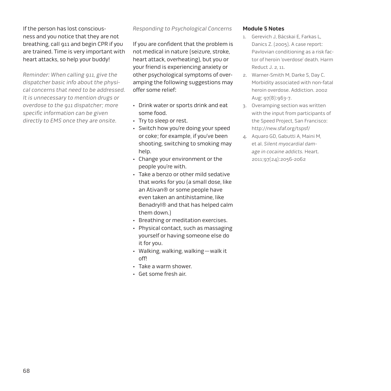If the person has lost consciousness and you notice that they are not breathing, call 911 and begin CPR if you are trained. Time is very important with heart attacks, so help your buddy!

Reminder: When calling 911, give the dispatcher basic info about the physical concerns that need to be addressed. It is unnecessary to mention drugs or overdose to the 911 dispatcher; more specific information can be given directly to EMS once they are onsite.

Responding to Psychological Concerns

If you are confident that the problem is not medical in nature (seizure, stroke, heart attack, overheating), but you or your friend is experiencing anxiety or other psychological symptoms of overamping the following suggestions may offer some relief:

- • Drink water or sports drink and eat some food.
- • Try to sleep or rest.
- Switch how you're doing your speed or coke; for example, if you've been shooting, switching to smoking may help.
- • Change your environment or the people you're with.
- • Take a benzo or other mild sedative that works for you (a small dose, like an Ativan® or some people have even taken an antihistamine, like Benadryl® and that has helped calm them down.)
- • Breathing or meditation exercises.
- • Physical contact, such as massaging yourself or having someone else do it for you.
- • Walking, walking, walking—walk it off!
- • Take a warm shower.
- • Get some fresh air.

#### **Module 5 Notes**

- 1. Gerevich J, Bácskai E, Farkas L, Danics Z. (2005). A case report: Pavlovian conditioning as a risk factor of heroin 'overdose' death. Harm Reduct J. 2, 11.
- 2. Warner-Smith M, Darke S, Day C. Morbidity associated with non-fatal heroin overdose. Addiction. 2002 Aug; 97(8):963-7.
- 3. Overamping section was written with the input from participants of the Speed Project, San Francisco: http://new.sfaf.org/tspsf/
- 4. Aquaro GD, Gabutti A, Maini M, et al. Silent myocardial damage in cocaine addicts. Heart. 2011;97(24):2056-2062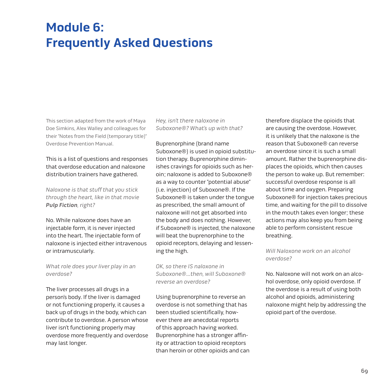# **Module 6: Frequently Asked Questions**

This section adapted from the work of Maya Doe Simkins, Alex Walley and colleagues for their "Notes from the Field (temporary title)" Overdose Prevention Manual.

This is a list of questions and responses that overdose education and naloxone distribution trainers have gathered.

Naloxone is that stuff that you stick through the heart, like in that movie **Pulp Fiction**, right?

No. While naloxone does have an injectable form, it is never injected into the heart. The injectable form of naloxone is injected either intravenous or intramuscularly.

What role does your liver play in an overdose?

The liver processes all drugs in a person's body. If the liver is damaged or not functioning properly, it causes a back up of drugs in the body, which can contribute to overdose. A person whose liver isn't functioning properly may overdose more frequently and overdose may last longer.

Hey, isn't there naloxone in Suboxone®? What's up with that?

Buprenorphine (brand name Suboxone®) is used in opioid substitution therapy. Buprenorphine diminishes cravings for opioids such as heroin; naloxone is added to Suboxone® as a way to counter "potential abuse" (i.e. injection) of Suboxone®. If the Suboxone® is taken under the tongue as prescribed, the small amount of naloxone will not get absorbed into the body and does nothing. However, if Suboxone® is injected, the naloxone will beat the buprenorphine to the opioid receptors, delaying and lessening the high.

OK, so there IS naloxone in Suboxone®…then, will Suboxone® reverse an overdose?

Using buprenorphine to reverse an overdose is not something that has been studied scientifically, however there are anecdotal reports of this approach having worked. Buprenorphine has a stronger affinity or attraction to opioid receptors than heroin or other opioids and can

therefore displace the opioids that are causing the overdose. However, it is unlikely that the naloxone is the reason that Suboxone® can reverse an overdose since it is such a small amount. Rather the buprenorphine displaces the opioids, which then causes the person to wake up. But remember: successful overdose response is all about time and oxygen. Preparing Suboxone® for injection takes precious time, and waiting for the pill to dissolve in the mouth takes even longer; these actions may also keep you from being able to perform consistent rescue breathing.

Will Naloxone work on an alcohol overdose?

No. Naloxone will not work on an alcohol overdose, only opioid overdose. If the overdose is a result of using both alcohol and opioids, administering naloxone might help by addressing the opioid part of the overdose.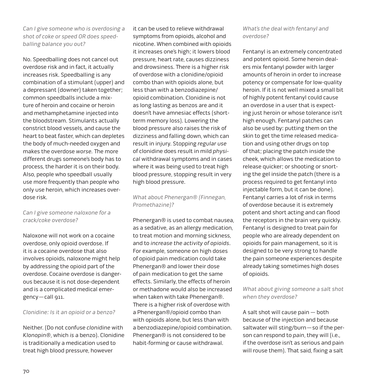Can I give someone who is overdosing a shot of coke or speed OR does speedballing balance you out?

No. Speedballing does not cancel out overdose risk and in fact, it actually increases risk. Speedballing is any combination of a stimulant (upper) and a depressant (downer) taken together; common speedballs include a mixture of heroin and cocaine or heroin and methamphetamine injected into the bloodstream. Stimulants actually constrict blood vessels, and cause the heart to beat faster, which can depletes the body of much-needed oxygen and makes the overdose worse. The more different drugs someone's body has to process, the harder it is on their body. Also, people who speedball usually use more frequently than people who only use heroin, which increases overdose risk.

#### Can I give someone naloxone for a crack/coke overdose?

Naloxone will not work on a cocaine overdose, only opioid overdose. If it is a cocaine overdose that also involves opioids, naloxone might help by addressing the opioid part of the overdose. Cocaine overdose is dangerous because it is not dose-dependent and is a complicated medical emergency—call 911.

#### Clonidine: Is it an opioid or a benzo?

Neither. (Do not confuse clonidine with Klonopin®, which is a benzo). Clonidine is traditionally a medication used to treat high blood pressure, however

it can be used to relieve withdrawal symptoms from opioids, alcohol and nicotine. When combined with opioids it increases one's high; it lowers blood pressure, heart rate, causes dizziness and drowsiness. There is a higher risk of overdose with a clonidine/opioid combo than with opioids alone, but less than with a benzodiazepine/ opioid combination. Clonidine is not as long lasting as benzos are and it doesn't have amnesiac effects (shortterm memory loss). Lowering the blood pressure also raises the risk of dizziness and falling down, which can result in injury. Stopping regular use of clonidine does result in mild physical withdrawal symptoms and in cases where it was being used to treat high blood pressure, stopping result in very high blood pressure.

## What about Phenergan® (Finnegan, Promethazine)?

Phenergan® is used to combat nausea, as a sedative, as an allergy medication, to treat motion and morning sickness, and to increase the activity of opioids. For example, someone on high doses of opioid pain medication could take Phenergan® and lower their dose of pain medication to get the same effects. Similarly, the effects of heroin or methadone would also be increased when taken with take Phenergan®. There is a higher risk of overdose with a Phenergan®/opioid combo than with opioids alone, but less than with a benzodiazepine/opioid combination. Phenergan® is not considered to be habit-forming or cause withdrawal.

What's the deal with fentanyl and overdose?

Fentanyl is an extremely concentrated and potent opioid. Some heroin dealers mix fentanyl powder with larger amounts of heroin in order to increase potency or compensate for low-quality heroin. If it is not well mixed a small bit of highly potent fentanyl could cause an overdose in a user that is expecting just heroin or whose tolerance isn't high enough. Fentanyl patches can also be used by: putting them on the skin to get the time released medication and using other drugs on top of that; placing the patch inside the cheek, which allows the medication to release quicker; or shooting or snorting the gel inside the patch (there is a process required to get fentanyl into injectable form, but it can be done). Fentanyl carries a lot of risk in terms of overdose because it is extremely potent and short acting and can flood the receptors in the brain very quickly. Fentanyl is designed to treat pain for people who are already dependent on opioids for pain management, so it is designed to be very strong to handle the pain someone experiences despite already taking sometimes high doses of opioids.

What about giving someone a salt shot when they overdose?

A salt shot will cause pain — both because of the injection and because saltwater will sting/burn—so if the person can respond to pain, they will (i.e., if the overdose isn't as serious and pain will rouse them). That said, fixing a salt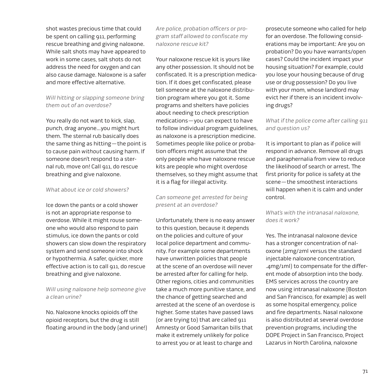shot wastes precious time that could be spent on calling 911, performing rescue breathing and giving naloxone. While salt shots may have appeared to work in some cases, salt shots do not address the need for oxygen and can also cause damage. Naloxone is a safer and more effective alternative.

## Will hitting or slapping someone bring them out of an overdose?

You really do not want to kick, slap, punch, drag anyone…you might hurt them. The sternal rub basically does the same thing as hitting—the point is to cause pain without causing harm. If someone doesn't respond to a sternal rub, move on! Call 911, do rescue breathing and give naloxone.

#### What about ice or cold showers?

Ice down the pants or a cold shower is not an appropriate response to overdose. While it might rouse someone who would also respond to pain stimulus, ice down the pants or cold showers can slow down the respiratory system and send someone into shock or hypothermia. A safer, quicker, more effective action is to call 911, do rescue breathing and give naloxone.

#### Will using naloxone help someone give a clean urine?

No. Naloxone knocks opioids off the opioid receptors, but the drug is still floating around in the body (and urine!) Are police, probation officers or program staff allowed to confiscate my naloxone rescue kit?

Your naloxone rescue kit is yours like any other possession. It should not be confiscated. It is a prescription medication. If it does get confiscated, please tell someone at the naloxone distribution program where you got it. Some programs and shelters have policies about needing to check prescription medications—you can expect to have to follow individual program guidelines, as naloxone is a prescription medicine. Sometimes people like police or probation officers might assume that the only people who have naloxone rescue kits are people who might overdose themselves, so they might assume that it is a flag for illegal activity.

Can someone get arrested for being present at an overdose?

Unfortunately, there is no easy answer to this question, because it depends on the policies and culture of your local police department and community. For example some departments have unwritten policies that people at the scene of an overdose will never be arrested after for calling for help. Other regions, cities and communities take a much more punitive stance, and the chance of getting searched and arrested at the scene of an overdose is higher. Some states have passed laws (or are trying to) that are called 911 Amnesty or Good Samaritan bills that make it extremely unlikely for police to arrest you or at least to charge and

prosecute someone who called for help for an overdose. The following considerations may be important: Are you on probation? Do you have warrants/open cases? Could the incident impact your housing situation? For example, could you lose your housing because of drug use or drug possession? Do you live with your mom, whose landlord may evict her if there is an incident involving drugs?

### What if the police come after calling 911 and question us?

It is important to plan as if police will respond in advance. Remove all drugs and paraphernalia from view to reduce the likelihood of search or arrest. The first priority for police is safety at the scene—the smoothest interactions will happen when it is calm and under control.

### What's with the intranasal naloxone, does it work?

Yes. The intranasal naloxone device has a stronger concentration of naloxone (2mg/2ml versus the standard injectable naloxone concentration, .4mg/1ml) to compensate for the different mode of absorption into the body. EMS services across the country are now using intranasal naloxone (Boston and San Francisco, for example) as well as some hospital emergency, police and fire departments. Nasal naloxone is also distributed at several overdose prevention programs, including the DOPE Project in San Francisco, Project Lazarus in North Carolina, naloxone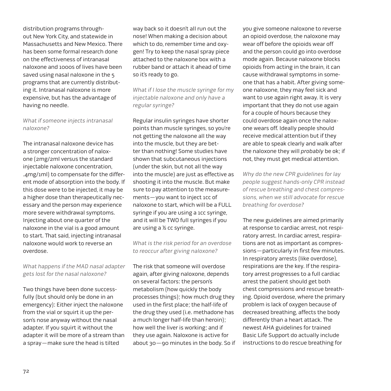distribution programs throughout New York City, and statewide in Massachusetts and New Mexico. There has been some formal research done on the effectiveness of intranasal naloxone and 1000s of lives have been saved using nasal naloxone in the 5 programs that are currently distributing it. Intranasal naloxone is more expensive, but has the advantage of having no needle.

#### What if someone injects intranasal naloxone?

The intranasal naloxone device has a stronger concentration of naloxone (2mg/2ml versus the standard injectable naloxone concentration, .4mg/1ml) to compensate for the different mode of absorption into the body. If this dose were to be injected, it may be a higher dose than therapeutically necessary and the person may experience more severe withdrawal symptoms. Injecting about one quarter of the naloxone in the vial is a good amount to start. That said, injecting intranasal naloxone would work to reverse an overdose.

## What happens if the MAD nasal adapter gets lost for the nasal naloxone?

Two things have been done successfully (but should only be done in an emergency): Either inject the naloxone from the vial or squirt it up the person's nose anyway without the nasal adapter. If you squirt it without the adapter it will be more of a stream than a spray—make sure the head is tilted

way back so it doesn't all run out the nose! When making a decision about which to do, remember time and oxygen! Try to keep the nasal spray piece attached to the naloxone box with a rubber band or attach it ahead of time so it's ready to go.

What if I lose the muscle syringe for my injectable naloxone and only have a regular syringe?

Regular insulin syringes have shorter points than muscle syringes, so you're not getting the naloxone all the way into the muscle, but they are better than nothing! Some studies have shown that subcutaneous injections (under the skin, but not all the way into the muscle) are just as effective as shooting it into the muscle. But make sure to pay attention to the measurements—you want to inject 1cc of naloxone to start, which will be a FULL syringe if you are using a 1cc syringe, and it will be TWO full syringes if you are using a ½ cc syringe.

#### What is the risk period for an overdose to reoccur after giving naloxone?

The risk that someone will overdose again, after giving naloxone, depends on several factors: the person's metabolism (how quickly the body processes things); how much drug they used in the first place; the half-life of the drug they used (i.e. methadone has a much longer half-life than heroin); how well the liver is working; and if they use again. Naloxone is active for about 30—90 minutes in the body. So if you give someone naloxone to reverse an opioid overdose, the naloxone may wear off before the opioids wear off and the person could go into overdose mode again. Because naloxone blocks opioids from acting in the brain, it can cause withdrawal symptoms in someone that has a habit. After giving someone naloxone, they may feel sick and want to use again right away. It is very important that they do not use again for a couple of hours because they could overdose again once the naloxone wears off. Ideally people should receive medical attention but if they are able to speak clearly and walk after the naloxone they will probably be ok; if not, they must get medical attention.

Why do the new CPR guidelines for lay people suggest hands-only CPR instead of rescue breathing and chest compressions, when we still advocate for rescue breathing for overdose?

The new guidelines are aimed primarily at response to cardiac arrest, not respiratory arrest. In cardiac arrest, respirations are not as important as compressions—particularly in first few minutes. In respiratory arrests (like overdose), respirations are the key. If the respiratory arrest progresses to a full cardiac arrest the patient should get both chest compressions and rescue breathing. Opioid overdose, where the primary problem is lack of oxygen because of decreased breathing, affects the body differently than a heart attack. The newest AHA guidelines for trained Basic Life Support do actually include instructions to do rescue breathing for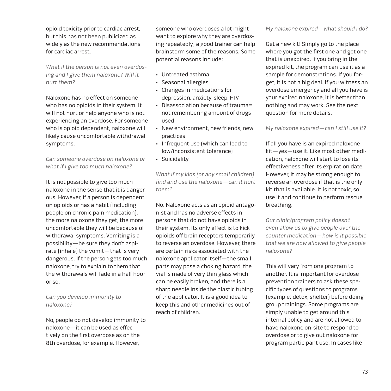opioid toxicity prior to cardiac arrest, but this has not been publicized as widely as the new recommendations for cardiac arrest.

What if the person is not even overdosing and I give them naloxone? Will it hurt them?

Naloxone has no effect on someone who has no opioids in their system. It will not hurt or help anyone who is not experiencing an overdose. For someone who is opioid dependent, naloxone will likely cause uncomfortable withdrawal symptoms.

Can someone overdose on naloxone or what if I give too much naloxone?

It is not possible to give too much naloxone in the sense that it is dangerous. However, if a person is dependent on opioids or has a habit (including people on chronic pain medication), the more naloxone they get, the more uncomfortable they will be because of withdrawal symptoms. Vomiting is a possibility—be sure they don't aspirate (inhale) the vomit—that is very dangerous. If the person gets too much naloxone, try to explain to them that the withdrawals will fade in a half hour or so.

Can you develop immunity to naloxone?

No, people do not develop immunity to naloxone—it can be used as effectively on the first overdose as on the 8th overdose, for example. However,

someone who overdoses a lot might want to explore why they are overdosing repeatedly; a good trainer can help brainstorm some of the reasons. Some potential reasons include:

- • Untreated asthma
- • Seasonal allergies
- • Changes in medications for depression, anxiety, sleep, HIV
- • Disassociation because of trauma= not remembering amount of drugs used
- • New environment, new friends, new practices
- • Infrequent use (which can lead to low/inconsistent tolerance)
- • Suicidality

What if my kids (or any small children) find and use the naloxone—can it hurt them?

No. Naloxone acts as an opioid antagonist and has no adverse effects in persons that do not have opioids in their system. Its only effect is to kick opioids off brain receptors temporarily to reverse an overdose. However, there are certain risks associated with the naloxone applicator itself—the small parts may pose a choking hazard, the vial is made of very thin glass which can be easily broken, and there is a sharp needle inside the plastic tubing of the applicator. It is a good idea to keep this and other medicines out of reach of children.

Get a new kit! Simply go to the place where you got the first one and get one that is unexpired. If you bring in the expired kit, the program can use it as a sample for demonstrations. If you forget, it is not a big deal. If you witness an overdose emergency and all you have is your expired naloxone, it is better than nothing and may work. See the next question for more details.

My naloxone expired—can I still use it?

If all you have is an expired naloxone kit—yes—use it. Like most other medication, naloxone will start to lose its effectiveness after its expiration date. However, it may be strong enough to reverse an overdose if that is the only kit that is available. It is not toxic, so use it and continue to perform rescue breathing.

Our clinic/program policy doesn't even allow us to give people over the counter medication—how is it possible that we are now allowed to give people naloxone?

This will vary from one program to another. It is important for overdose prevention trainers to ask these specific types of questions to programs (example: detox, shelter) before doing group trainings. Some programs are simply unable to get around this internal policy and are not allowed to have naloxone on-site to respond to overdose or to give out naloxone for program participant use. In cases like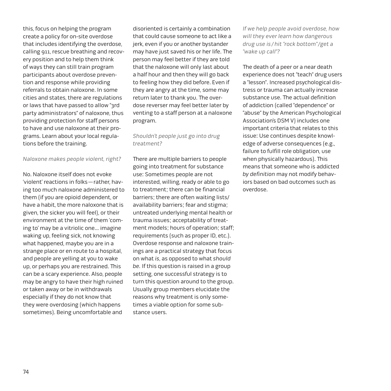this, focus on helping the program create a policy for on-site overdose that includes identifying the overdose, calling 911, rescue breathing and recovery position and to help them think of ways they can still train program participants about overdose prevention and response while providing referrals to obtain naloxone. In some cities and states, there are regulations or laws that have passed to allow "3rd party administrators" of naloxone, thus providing protection for staff persons to have and use naloxone at their programs. Learn about your local regulations before the training.

## Naloxone makes people violent, right?

No. Naloxone itself does not evoke 'violent' reactions in folks—rather, having too much naloxone administered to them (if you are opioid dependent, or have a habit, the more naloxone that is given, the sicker you will feel), or their environment at the time of them 'coming to' may be a vitriolic one… imagine waking up, feeling sick, not knowing what happened, maybe you are in a strange place or en route to a hospital, and people are yelling at you to wake up, or perhaps you are restrained. This can be a scary experience. Also, people may be angry to have their high ruined or taken away or be in withdrawals especially if they do not know that they were overdosing (which happens sometimes). Being uncomfortable and

disoriented is certainly a combination that could cause someone to act like a jerk, even if you or another bystander may have just saved his or her life. The person may feel better if they are told that the naloxone will only last about a half hour and then they will go back to feeling how they did before. Even if they are angry at the time, some may return later to thank you. The overdose reverser may feel better later by venting to a staff person at a naloxone program.

## Shouldn't people just go into drug treatment?

There are multiple barriers to people going into treatment for substance use: Sometimes people are not interested, willing, ready or able to go to treatment; there can be financial barriers; there are often waiting lists/ availability barriers; fear and stigma; untreated underlying mental health or trauma issues; acceptability of treatment models; hours of operation; staff; requirements (such as proper ID, etc.). Overdose response and naloxone trainings are a practical strategy that focus on what is, as opposed to what should be. If this question is raised in a group setting, one successful strategy is to turn this question around to the group. Usually group members elucidate the reasons why treatment is only sometimes a viable option for some substance users.

If we help people avoid overdose, how will they ever learn how dangerous drug use is / hit "rock bottom"/get a "wake up call"?

The death of a peer or a near death experience does not "teach" drug users a "lesson". Increased psychological distress or trauma can actually increase substance use. The actual definition of addiction (called "dependence" or "abuse" by the American Psychological Association's DSM V) includes one important criteria that relates to this issue: Use continues despite knowledge of adverse consequences (e.g., failure to fulfill role obligation, use when physically hazardous). This means that someone who is addicted by definition may not modify behaviors based on bad outcomes such as overdose.